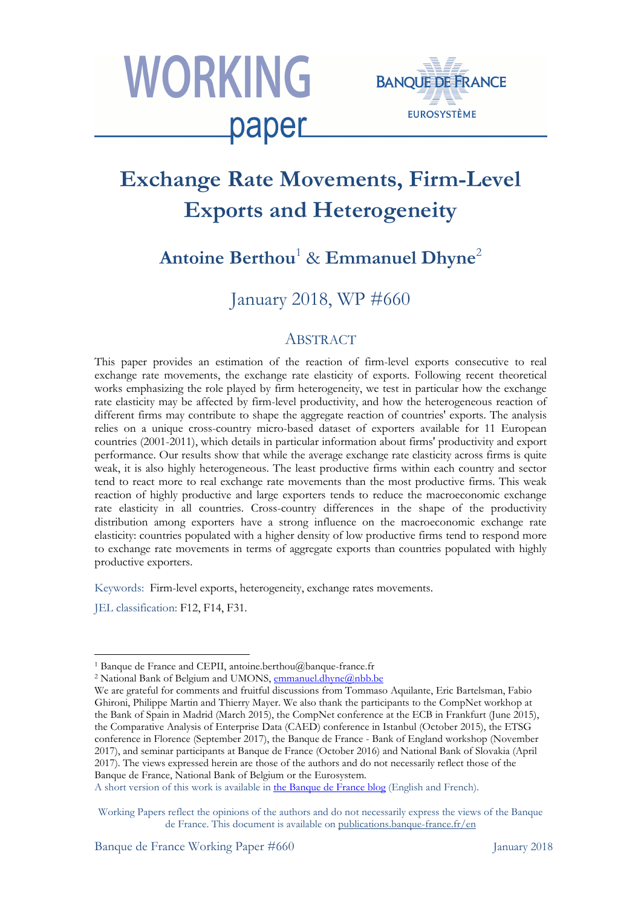



# **Exchange Rate Movements, Firm-Level Exports and Heterogeneity**

## **Antoine Berthou**<sup>1</sup> & **Emmanuel Dhyne**<sup>2</sup>

January 2018, WP #660

### **ABSTRACT**

This paper provides an estimation of the reaction of firm-level exports consecutive to real exchange rate movements, the exchange rate elasticity of exports. Following recent theoretical works emphasizing the role played by firm heterogeneity, we test in particular how the exchange rate elasticity may be affected by firm-level productivity, and how the heterogeneous reaction of different firms may contribute to shape the aggregate reaction of countries' exports. The analysis relies on a unique cross-country micro-based dataset of exporters available for 11 European countries (2001-2011), which details in particular information about firms' productivity and export performance. Our results show that while the average exchange rate elasticity across firms is quite weak, it is also highly heterogeneous. The least productive firms within each country and sector tend to react more to real exchange rate movements than the most productive firms. This weak reaction of highly productive and large exporters tends to reduce the macroeconomic exchange rate elasticity in all countries. Cross-country differences in the shape of the productivity distribution among exporters have a strong influence on the macroeconomic exchange rate elasticity: countries populated with a higher density of low productive firms tend to respond more to exchange rate movements in terms of aggregate exports than countries populated with highly productive exporters.

Keywords: Firm-level exports, heterogeneity, exchange rates movements.

JEL classification: F12, F14, F31.

l

A short version of this work is available in the Banque de France blog (English and French).

<sup>1</sup> Banque de France and CEPII, antoine.berthou@banque-france.fr

<sup>&</sup>lt;sup>2</sup> National Bank of Belgium and UMONS, **emmanuel.dhyne@nbb.be** 

We are grateful for comments and fruitful discussions from Tommaso Aquilante, Eric Bartelsman, Fabio Ghironi, Philippe Martin and Thierry Mayer. We also thank the participants to the CompNet workhop at the Bank of Spain in Madrid (March 2015), the CompNet conference at the ECB in Frankfurt (June 2015), the Comparative Analysis of Enterprise Data (CAED) conference in Istanbul (October 2015), the ETSG conference in Florence (September 2017), the Banque de France - Bank of England workshop (November 2017), and seminar participants at Banque de France (October 2016) and National Bank of Slovakia (April 2017). The views expressed herein are those of the authors and do not necessarily reflect those of the Banque de France, National Bank of Belgium or the Eurosystem.

Working Papers reflect the opinions of the authors and do not necessarily express the views of the Banque de France. This document is available on publications.banque-france.fr/en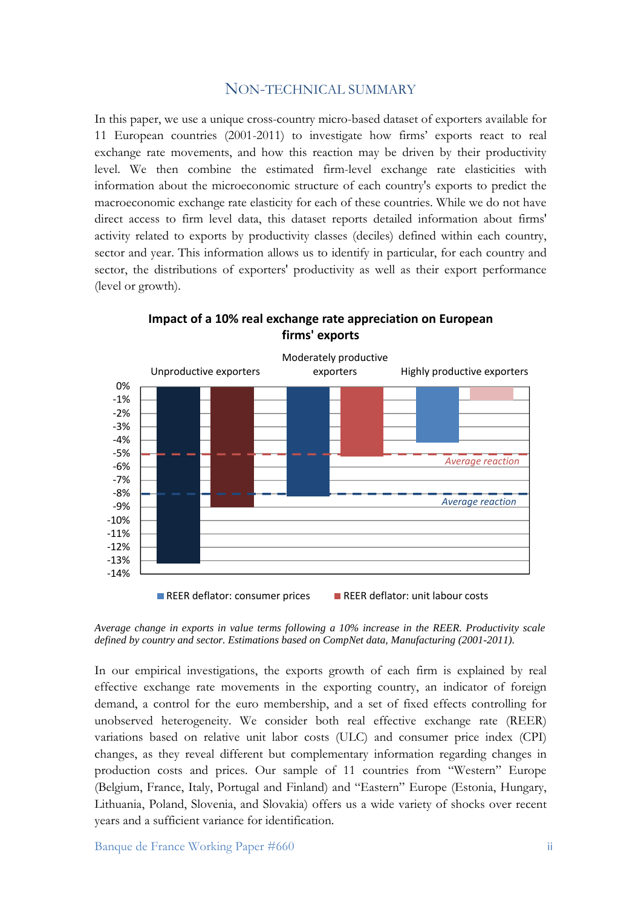#### NON-TECHNICAL SUMMARY

In this paper, we use a unique cross-country micro-based dataset of exporters available for 11 European countries (2001-2011) to investigate how firms' exports react to real exchange rate movements, and how this reaction may be driven by their productivity level. We then combine the estimated firm-level exchange rate elasticities with information about the microeconomic structure of each country's exports to predict the macroeconomic exchange rate elasticity for each of these countries. While we do not have direct access to firm level data, this dataset reports detailed information about firms' activity related to exports by productivity classes (deciles) defined within each country, sector and year. This information allows us to identify in particular, for each country and sector, the distributions of exporters' productivity as well as their export performance (level or growth).



**Impact of a 10% real exchange rate appreciation on European firms' exports**

*Average change in exports in value terms following a 10% increase in the REER. Productivity scale defined by country and sector. Estimations based on CompNet data, Manufacturing (2001-2011).* 

In our empirical investigations, the exports growth of each firm is explained by real effective exchange rate movements in the exporting country, an indicator of foreign demand, a control for the euro membership, and a set of fixed effects controlling for unobserved heterogeneity. We consider both real effective exchange rate (REER) variations based on relative unit labor costs (ULC) and consumer price index (CPI) changes, as they reveal different but complementary information regarding changes in production costs and prices. Our sample of 11 countries from "Western" Europe (Belgium, France, Italy, Portugal and Finland) and "Eastern" Europe (Estonia, Hungary, Lithuania, Poland, Slovenia, and Slovakia) offers us a wide variety of shocks over recent years and a sufficient variance for identification.

Banque de France Working Paper #660 iii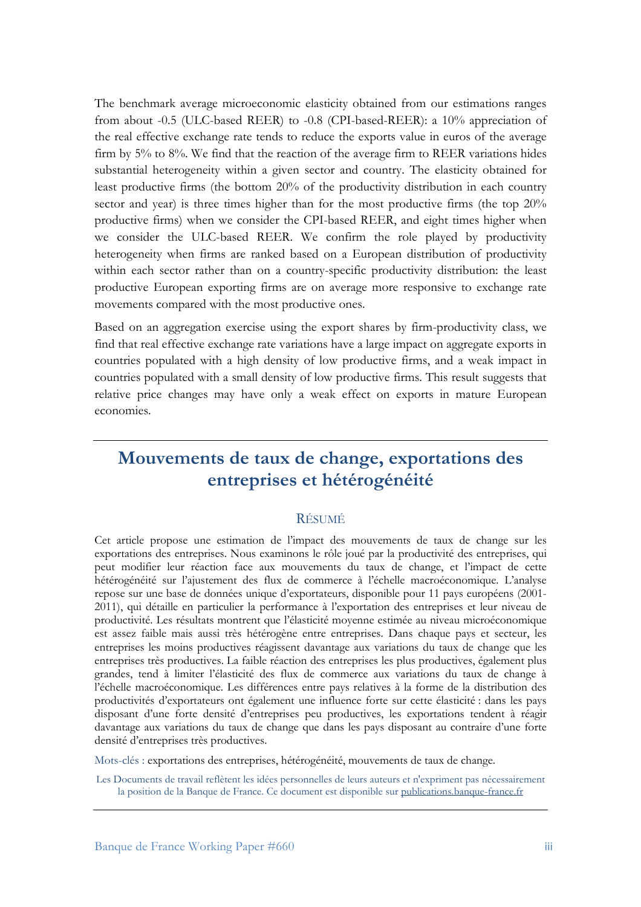The benchmark average microeconomic elasticity obtained from our estimations ranges from about -0.5 (ULC-based REER) to -0.8 (CPI-based-REER): a 10% appreciation of the real effective exchange rate tends to reduce the exports value in euros of the average firm by 5% to 8%. We find that the reaction of the average firm to REER variations hides substantial heterogeneity within a given sector and country. The elasticity obtained for least productive firms (the bottom 20% of the productivity distribution in each country sector and year) is three times higher than for the most productive firms (the top  $20\%$ productive firms) when we consider the CPI-based REER, and eight times higher when we consider the ULC-based REER. We confirm the role played by productivity heterogeneity when firms are ranked based on a European distribution of productivity within each sector rather than on a country-specific productivity distribution: the least productive European exporting firms are on average more responsive to exchange rate movements compared with the most productive ones.

Based on an aggregation exercise using the export shares by firm-productivity class, we find that real effective exchange rate variations have a large impact on aggregate exports in countries populated with a high density of low productive firms, and a weak impact in countries populated with a small density of low productive firms. This result suggests that relative price changes may have only a weak effect on exports in mature European economies.

## **Mouvements de taux de change, exportations des entreprises et hétérogénéité**

#### RÉSUMÉ

Cet article propose une estimation de l'impact des mouvements de taux de change sur les exportations des entreprises. Nous examinons le rôle joué par la productivité des entreprises, qui peut modifier leur réaction face aux mouvements du taux de change, et l'impact de cette hétérogénéité sur l'ajustement des flux de commerce à l'échelle macroéconomique. L'analyse repose sur une base de données unique d'exportateurs, disponible pour 11 pays européens (2001- 2011), qui détaille en particulier la performance à l'exportation des entreprises et leur niveau de productivité. Les résultats montrent que l'élasticité moyenne estimée au niveau microéconomique est assez faible mais aussi très hétérogène entre entreprises. Dans chaque pays et secteur, les entreprises les moins productives réagissent davantage aux variations du taux de change que les entreprises très productives. La faible réaction des entreprises les plus productives, également plus grandes, tend à limiter l'élasticité des flux de commerce aux variations du taux de change à l'échelle macroéconomique. Les différences entre pays relatives à la forme de la distribution des productivités d'exportateurs ont également une influence forte sur cette élasticité : dans les pays disposant d'une forte densité d'entreprises peu productives, les exportations tendent à réagir davantage aux variations du taux de change que dans les pays disposant au contraire d'une forte densité d'entreprises très productives.

Mots-clés : exportations des entreprises, hétérogénéité, mouvements de taux de change.

Les Documents de travail reflètent les idées personnelles de leurs auteurs et n'expriment pas nécessairement la position de la Banque de France. Ce document est disponible sur publications.banque-france.fr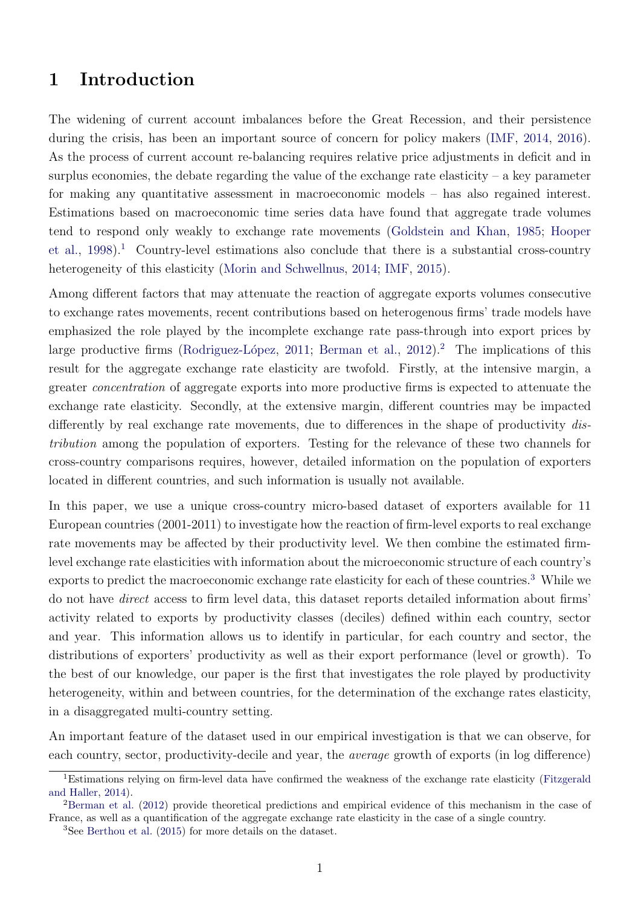## 1 Introduction

The widening of current account imbalances before the Great Recession, and their persistence during the crisis, has been an important source of concern for policy makers [\(IMF,](#page-23-0) [2014,](#page-23-0) [2016\)](#page-23-1). As the process of current account re-balancing requires relative price adjustments in deficit and in surplus economies, the debate regarding the value of the exchange rate elasticity – a key parameter for making any quantitative assessment in macroeconomic models – has also regained interest. Estimations based on macroeconomic time series data have found that aggregate trade volumes tend to respond only weakly to exchange rate movements [\(Goldstein and Khan,](#page-23-2) [1985;](#page-23-2) [Hooper](#page-23-3) [et al.,](#page-23-3)  $1998$  $1998$ ).<sup>1</sup> Country-level estimations also conclude that there is a substantial cross-country heterogeneity of this elasticity [\(Morin and Schwellnus,](#page-23-4) [2014;](#page-23-4) [IMF,](#page-23-5) [2015\)](#page-23-5).

Among different factors that may attenuate the reaction of aggregate exports volumes consecutive to exchange rates movements, recent contributions based on heterogenous firms' trade models have emphasized the role played by the incomplete exchange rate pass-through into export prices by large productive firms (Rodriguez-López, [2011;](#page-24-0) [Berman et al.,](#page-21-0) [2012\)](#page-21-0).<sup>[2](#page-3-1)</sup> The implications of this result for the aggregate exchange rate elasticity are twofold. Firstly, at the intensive margin, a greater *concentration* of aggregate exports into more productive firms is expected to attenuate the exchange rate elasticity. Secondly, at the extensive margin, different countries may be impacted differently by real exchange rate movements, due to differences in the shape of productivity distribution among the population of exporters. Testing for the relevance of these two channels for cross-country comparisons requires, however, detailed information on the population of exporters located in different countries, and such information is usually not available.

In this paper, we use a unique cross-country micro-based dataset of exporters available for 11 European countries (2001-2011) to investigate how the reaction of firm-level exports to real exchange rate movements may be affected by their productivity level. We then combine the estimated firmlevel exchange rate elasticities with information about the microeconomic structure of each country's exports to predict the macroeconomic exchange rate elasticity for each of these countries.<sup>[3](#page-3-2)</sup> While we do not have direct access to firm level data, this dataset reports detailed information about firms' activity related to exports by productivity classes (deciles) defined within each country, sector and year. This information allows us to identify in particular, for each country and sector, the distributions of exporters' productivity as well as their export performance (level or growth). To the best of our knowledge, our paper is the first that investigates the role played by productivity heterogeneity, within and between countries, for the determination of the exchange rates elasticity, in a disaggregated multi-country setting.

An important feature of the dataset used in our empirical investigation is that we can observe, for each country, sector, productivity-decile and year, the average growth of exports (in log difference)

<span id="page-3-0"></span><sup>&</sup>lt;sup>1</sup>Estimations relying on firm-level data have confirmed the weakness of the exchange rate elasticity [\(Fitzgerald](#page-22-0) [and Haller,](#page-22-0) [2014\)](#page-22-0).

<span id="page-3-1"></span><sup>&</sup>lt;sup>2</sup>[Berman et al.](#page-21-0) [\(2012\)](#page-21-0) provide theoretical predictions and empirical evidence of this mechanism in the case of France, as well as a quantification of the aggregate exchange rate elasticity in the case of a single country.

<span id="page-3-2"></span><sup>3</sup>See [Berthou et al.](#page-21-1) [\(2015\)](#page-21-1) for more details on the dataset.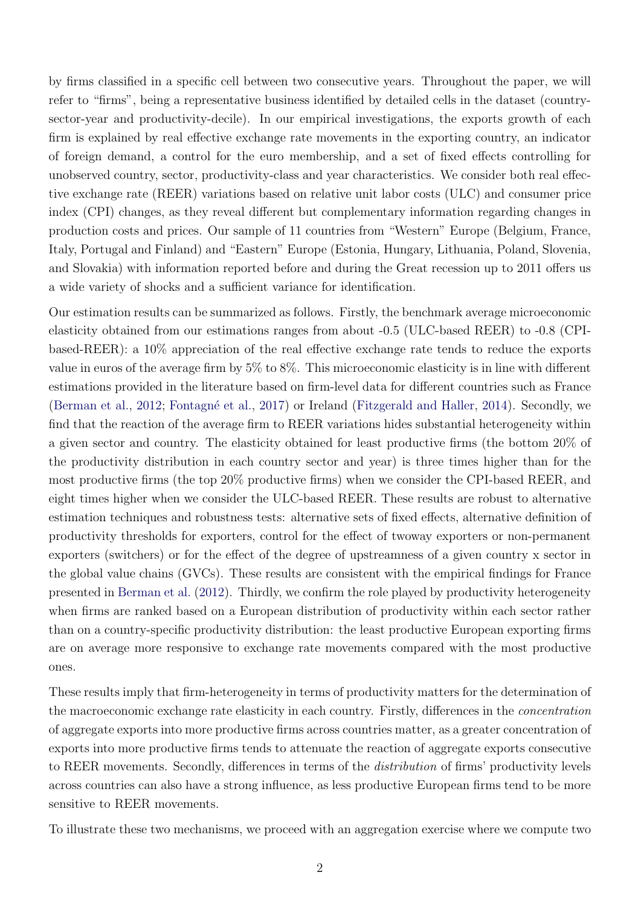by firms classified in a specific cell between two consecutive years. Throughout the paper, we will refer to "firms", being a representative business identified by detailed cells in the dataset (countrysector-year and productivity-decile). In our empirical investigations, the exports growth of each firm is explained by real effective exchange rate movements in the exporting country, an indicator of foreign demand, a control for the euro membership, and a set of fixed effects controlling for unobserved country, sector, productivity-class and year characteristics. We consider both real effective exchange rate (REER) variations based on relative unit labor costs (ULC) and consumer price index (CPI) changes, as they reveal different but complementary information regarding changes in production costs and prices. Our sample of 11 countries from "Western" Europe (Belgium, France, Italy, Portugal and Finland) and "Eastern" Europe (Estonia, Hungary, Lithuania, Poland, Slovenia, and Slovakia) with information reported before and during the Great recession up to 2011 offers us a wide variety of shocks and a sufficient variance for identification.

Our estimation results can be summarized as follows. Firstly, the benchmark average microeconomic elasticity obtained from our estimations ranges from about -0.5 (ULC-based REER) to -0.8 (CPIbased-REER): a 10% appreciation of the real effective exchange rate tends to reduce the exports value in euros of the average firm by 5% to 8%. This microeconomic elasticity is in line with different estimations provided in the literature based on firm-level data for different countries such as France [\(Berman et al.,](#page-21-0) [2012;](#page-21-0) Fontagné et al., [2017\)](#page-22-1) or Ireland [\(Fitzgerald and Haller,](#page-22-0) [2014\)](#page-22-0). Secondly, we find that the reaction of the average firm to REER variations hides substantial heterogeneity within a given sector and country. The elasticity obtained for least productive firms (the bottom 20% of the productivity distribution in each country sector and year) is three times higher than for the most productive firms (the top 20% productive firms) when we consider the CPI-based REER, and eight times higher when we consider the ULC-based REER. These results are robust to alternative estimation techniques and robustness tests: alternative sets of fixed effects, alternative definition of productivity thresholds for exporters, control for the effect of twoway exporters or non-permanent exporters (switchers) or for the effect of the degree of upstreamness of a given country x sector in the global value chains (GVCs). These results are consistent with the empirical findings for France presented in [Berman et al.](#page-21-0) [\(2012\)](#page-21-0). Thirdly, we confirm the role played by productivity heterogeneity when firms are ranked based on a European distribution of productivity within each sector rather than on a country-specific productivity distribution: the least productive European exporting firms are on average more responsive to exchange rate movements compared with the most productive ones.

These results imply that firm-heterogeneity in terms of productivity matters for the determination of the macroeconomic exchange rate elasticity in each country. Firstly, differences in the concentration of aggregate exports into more productive firms across countries matter, as a greater concentration of exports into more productive firms tends to attenuate the reaction of aggregate exports consecutive to REER movements. Secondly, differences in terms of the *distribution* of firms' productivity levels across countries can also have a strong influence, as less productive European firms tend to be more sensitive to REER movements.

To illustrate these two mechanisms, we proceed with an aggregation exercise where we compute two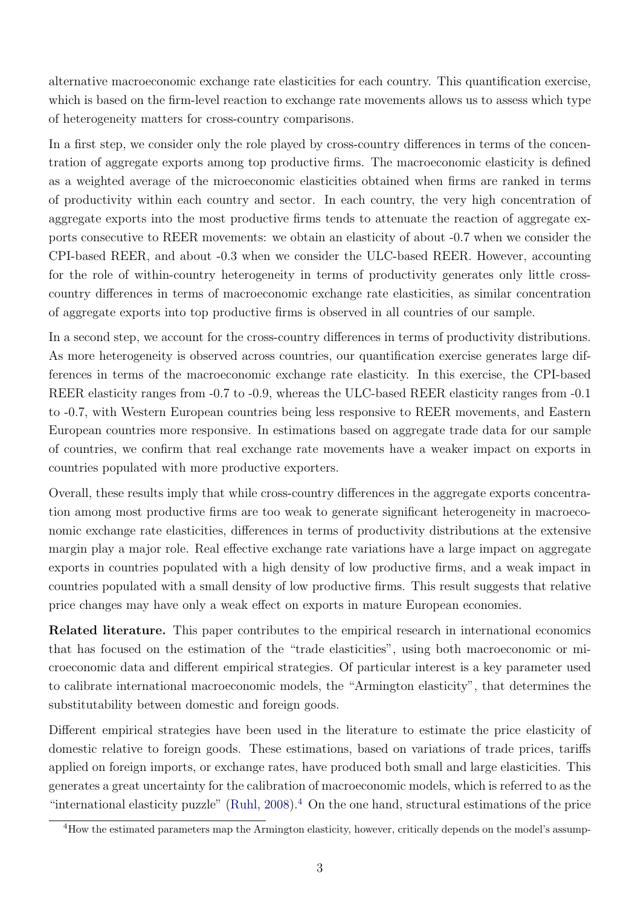alternative macroeconomic exchange rate elasticities for each country. This quantification exercise, which is based on the firm-level reaction to exchange rate movements allows us to assess which type of heterogeneity matters for cross-country comparisons.

In a first step, we consider only the role played by cross-country differences in terms of the concentration of aggregate exports among top productive firms. The macroeconomic elasticity is defined as a weighted average of the microeconomic elasticities obtained when firms are ranked in terms of productivity within each country and sector. In each country, the very high concentration of aggregate exports into the most productive firms tends to attenuate the reaction of aggregate exports consecutive to REER movements: we obtain an elasticity of about -0.7 when we consider the CPI-based REER, and about -0.3 when we consider the ULC-based REER. However, accounting for the role of within-country heterogeneity in terms of productivity generates only little crosscountry differences in terms of macroeconomic exchange rate elasticities, as similar concentration of aggregate exports into top productive firms is observed in all countries of our sample.

In a second step, we account for the cross-country differences in terms of productivity distributions. As more heterogeneity is observed across countries, our quantification exercise generates large differences in terms of the macroeconomic exchange rate elasticity. In this exercise, the CPI-based REER elasticity ranges from -0.7 to -0.9, whereas the ULC-based REER elasticity ranges from -0.1 to -0.7, with Western European countries being less responsive to REER movements, and Eastern European countries more responsive. In estimations based on aggregate trade data for our sample of countries, we confirm that real exchange rate movements have a weaker impact on exports in countries populated with more productive exporters.

Overall, these results imply that while cross-country differences in the aggregate exports concentration among most productive firms are too weak to generate significant heterogeneity in macroeconomic exchange rate elasticities, differences in terms of productivity distributions at the extensive margin play a major role. Real effective exchange rate variations have a large impact on aggregate exports in countries populated with a high density of low productive firms, and a weak impact in countries populated with a small density of low productive firms. This result suggests that relative price changes may have only a weak effect on exports in mature European economies.

Related literature. This paper contributes to the empirical research in international economics that has focused on the estimation of the "trade elasticities", using both macroeconomic or microeconomic data and different empirical strategies. Of particular interest is a key parameter used to calibrate international macroeconomic models, the "Armington elasticity", that determines the substitutability between domestic and foreign goods.

Different empirical strategies have been used in the literature to estimate the price elasticity of domestic relative to foreign goods. These estimations, based on variations of trade prices, tariffs applied on foreign imports, or exchange rates, have produced both small and large elasticities. This generates a great uncertainty for the calibration of macroeconomic models, which is referred to as the "international elasticity puzzle" [\(Ruhl,](#page-24-1) [2008\)](#page-24-1).[4](#page-5-0) On the one hand, structural estimations of the price

<span id="page-5-0"></span><sup>&</sup>lt;sup>4</sup>How the estimated parameters map the Armington elasticity, however, critically depends on the model's assump-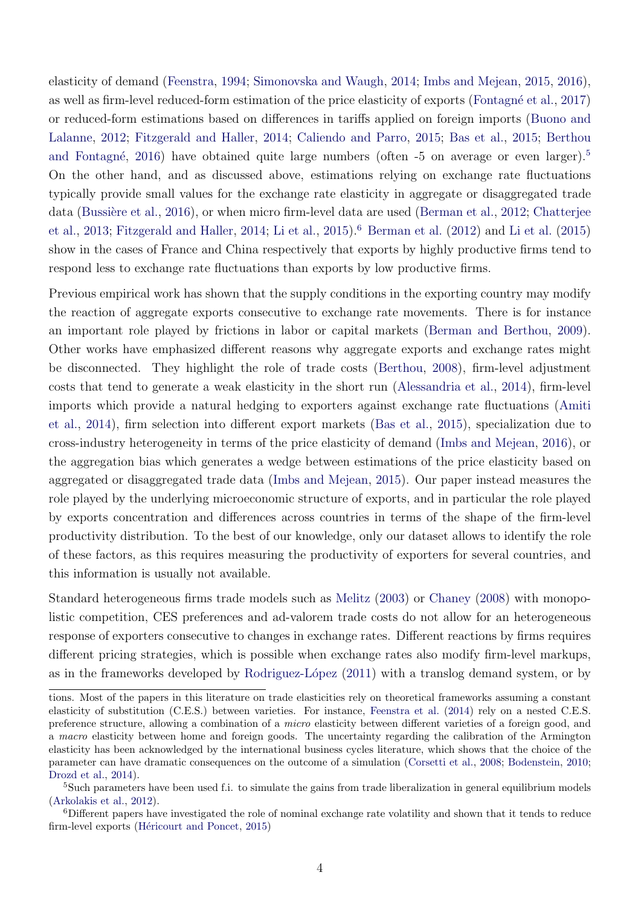elasticity of demand [\(Feenstra,](#page-22-2) [1994;](#page-22-2) [Simonovska and Waugh,](#page-24-2) [2014;](#page-24-2) [Imbs and Mejean,](#page-23-6) [2015,](#page-23-6) [2016\)](#page-23-7), as well as firm-level reduced-form estimation of the price elasticity of exports (Fontagné et al., [2017\)](#page-22-1) or reduced-form estimations based on differences in tariffs applied on foreign imports [\(Buono and](#page-21-2) [Lalanne,](#page-21-2) [2012;](#page-21-2) [Fitzgerald and Haller,](#page-22-0) [2014;](#page-22-0) [Caliendo and Parro,](#page-22-3) [2015;](#page-22-3) [Bas et al.,](#page-21-3) [2015;](#page-21-3) [Berthou](#page-21-4) and Fontagné, [2016\)](#page-21-4) have obtained quite large numbers (often  $-5$  $-5$  on average or even larger).<sup>5</sup> On the other hand, and as discussed above, estimations relying on exchange rate fluctuations typically provide small values for the exchange rate elasticity in aggregate or disaggregated trade data (Bussière et al., [2016\)](#page-22-4), or when micro firm-level data are used [\(Berman et al.,](#page-21-0) [2012;](#page-21-0) [Chatterjee](#page-22-5) [et al.,](#page-22-5) [2013;](#page-22-5) [Fitzgerald and Haller,](#page-22-0) [2014;](#page-22-0) [Li et al.,](#page-23-8) [2015\)](#page-23-8).<sup>[6](#page-6-1)</sup> [Berman et al.](#page-21-0) [\(2012\)](#page-21-0) and [Li et al.](#page-23-8) [\(2015\)](#page-23-8) show in the cases of France and China respectively that exports by highly productive firms tend to respond less to exchange rate fluctuations than exports by low productive firms.

Previous empirical work has shown that the supply conditions in the exporting country may modify the reaction of aggregate exports consecutive to exchange rate movements. There is for instance an important role played by frictions in labor or capital markets [\(Berman and Berthou,](#page-21-5) [2009\)](#page-21-5). Other works have emphasized different reasons why aggregate exports and exchange rates might be disconnected. They highlight the role of trade costs [\(Berthou,](#page-21-6) [2008\)](#page-21-6), firm-level adjustment costs that tend to generate a weak elasticity in the short run [\(Alessandria et al.,](#page-21-7) [2014\)](#page-21-7), firm-level imports which provide a natural hedging to exporters against exchange rate fluctuations [\(Amiti](#page-21-8) [et al.,](#page-21-8) [2014\)](#page-21-8), firm selection into different export markets [\(Bas et al.,](#page-21-3) [2015\)](#page-21-3), specialization due to cross-industry heterogeneity in terms of the price elasticity of demand [\(Imbs and Mejean,](#page-23-7) [2016\)](#page-23-7), or the aggregation bias which generates a wedge between estimations of the price elasticity based on aggregated or disaggregated trade data [\(Imbs and Mejean,](#page-23-6) [2015\)](#page-23-6). Our paper instead measures the role played by the underlying microeconomic structure of exports, and in particular the role played by exports concentration and differences across countries in terms of the shape of the firm-level productivity distribution. To the best of our knowledge, only our dataset allows to identify the role of these factors, as this requires measuring the productivity of exporters for several countries, and this information is usually not available.

Standard heterogeneous firms trade models such as [Melitz](#page-23-9) [\(2003\)](#page-23-9) or [Chaney](#page-22-6) [\(2008\)](#page-22-6) with monopolistic competition, CES preferences and ad-valorem trade costs do not allow for an heterogeneous response of exporters consecutive to changes in exchange rates. Different reactions by firms requires different pricing strategies, which is possible when exchange rates also modify firm-level markups, as in the frameworks developed by Rodriguez-López  $(2011)$  with a translog demand system, or by

tions. Most of the papers in this literature on trade elasticities rely on theoretical frameworks assuming a constant elasticity of substitution (C.E.S.) between varieties. For instance, [Feenstra et al.](#page-22-7) [\(2014\)](#page-22-7) rely on a nested C.E.S. preference structure, allowing a combination of a micro elasticity between different varieties of a foreign good, and a macro elasticity between home and foreign goods. The uncertainty regarding the calibration of the Armington elasticity has been acknowledged by the international business cycles literature, which shows that the choice of the parameter can have dramatic consequences on the outcome of a simulation [\(Corsetti et al.,](#page-22-8) [2008;](#page-22-8) [Bodenstein,](#page-21-9) [2010;](#page-21-9) [Drozd et al.,](#page-22-9) [2014\)](#page-22-9).

<span id="page-6-0"></span><sup>&</sup>lt;sup>5</sup>Such parameters have been used f.i. to simulate the gains from trade liberalization in general equilibrium models [\(Arkolakis et al.,](#page-21-10) [2012\)](#page-21-10).

<span id="page-6-1"></span><sup>6</sup>Different papers have investigated the role of nominal exchange rate volatility and shown that it tends to reduce firm-level exports (Héricourt and Poncet, [2015\)](#page-23-10)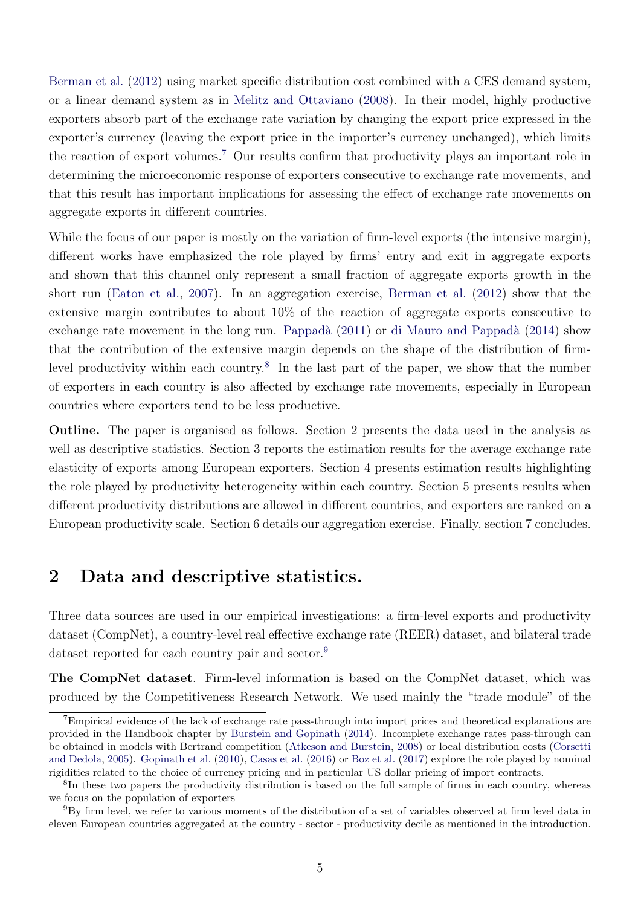[Berman et al.](#page-21-0) [\(2012\)](#page-21-0) using market specific distribution cost combined with a CES demand system, or a linear demand system as in [Melitz and Ottaviano](#page-23-11) [\(2008\)](#page-23-11). In their model, highly productive exporters absorb part of the exchange rate variation by changing the export price expressed in the exporter's currency (leaving the export price in the importer's currency unchanged), which limits the reaction of export volumes.[7](#page-7-0) Our results confirm that productivity plays an important role in determining the microeconomic response of exporters consecutive to exchange rate movements, and that this result has important implications for assessing the effect of exchange rate movements on aggregate exports in different countries.

While the focus of our paper is mostly on the variation of firm-level exports (the intensive margin), different works have emphasized the role played by firms' entry and exit in aggregate exports and shown that this channel only represent a small fraction of aggregate exports growth in the short run [\(Eaton et al.,](#page-22-10) [2007\)](#page-22-10). In an aggregation exercise, [Berman et al.](#page-21-0) [\(2012\)](#page-21-0) show that the extensive margin contributes to about 10% of the reaction of aggregate exports consecutive to exchange rate movement in the long run. Pappadà [\(2011\)](#page-23-12) or di Mauro and Pappadà [\(2014\)](#page-22-11) show that the contribution of the extensive margin depends on the shape of the distribution of firm-level productivity within each country.<sup>[8](#page-7-1)</sup> In the last part of the paper, we show that the number of exporters in each country is also affected by exchange rate movements, especially in European countries where exporters tend to be less productive.

Outline. The paper is organised as follows. Section 2 presents the data used in the analysis as well as descriptive statistics. Section 3 reports the estimation results for the average exchange rate elasticity of exports among European exporters. Section 4 presents estimation results highlighting the role played by productivity heterogeneity within each country. Section 5 presents results when different productivity distributions are allowed in different countries, and exporters are ranked on a European productivity scale. Section 6 details our aggregation exercise. Finally, section 7 concludes.

## 2 Data and descriptive statistics.

Three data sources are used in our empirical investigations: a firm-level exports and productivity dataset (CompNet), a country-level real effective exchange rate (REER) dataset, and bilateral trade dataset reported for each country pair and sector.<sup>[9](#page-7-2)</sup>

The CompNet dataset. Firm-level information is based on the CompNet dataset, which was produced by the Competitiveness Research Network. We used mainly the "trade module" of the

<span id="page-7-0"></span><sup>&</sup>lt;sup>7</sup>Empirical evidence of the lack of exchange rate pass-through into import prices and theoretical explanations are provided in the Handbook chapter by [Burstein and Gopinath](#page-22-12) [\(2014\)](#page-22-12). Incomplete exchange rates pass-through can be obtained in models with Bertrand competition [\(Atkeson and Burstein,](#page-21-11) [2008\)](#page-21-11) or local distribution costs [\(Corsetti](#page-22-13) [and Dedola,](#page-22-13) [2005\)](#page-22-13). [Gopinath et al.](#page-23-13) [\(2010\)](#page-23-13), [Casas et al.](#page-22-14) [\(2016\)](#page-22-14) or [Boz et al.](#page-21-12) [\(2017\)](#page-21-12) explore the role played by nominal rigidities related to the choice of currency pricing and in particular US dollar pricing of import contracts.

<span id="page-7-1"></span><sup>8</sup> In these two papers the productivity distribution is based on the full sample of firms in each country, whereas we focus on the population of exporters

<span id="page-7-2"></span><sup>9</sup>By firm level, we refer to various moments of the distribution of a set of variables observed at firm level data in eleven European countries aggregated at the country - sector - productivity decile as mentioned in the introduction.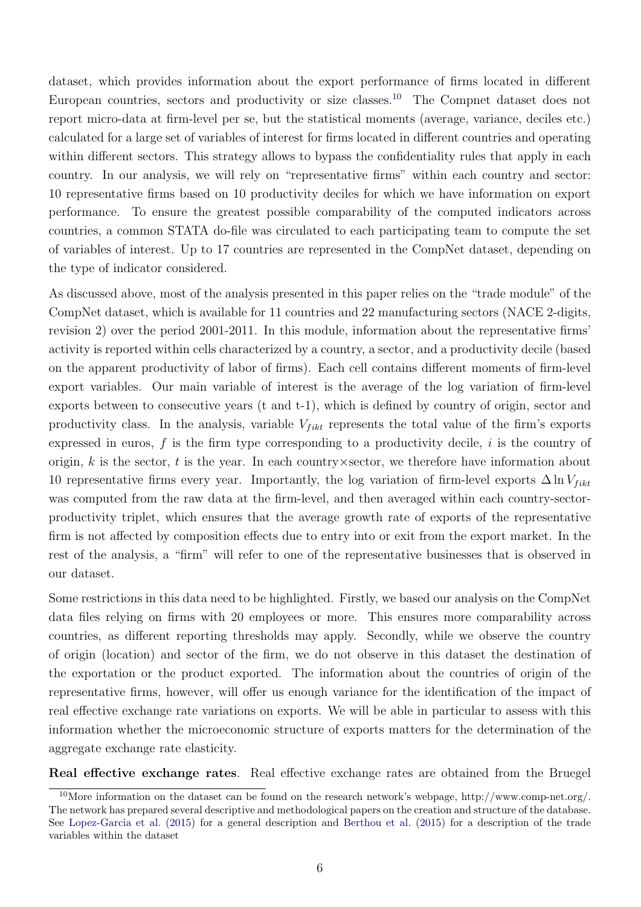dataset, which provides information about the export performance of firms located in different European countries, sectors and productivity or size classes.<sup>[10](#page-8-0)</sup> The Compnet dataset does not report micro-data at firm-level per se, but the statistical moments (average, variance, deciles etc.) calculated for a large set of variables of interest for firms located in different countries and operating within different sectors. This strategy allows to bypass the confidentiality rules that apply in each country. In our analysis, we will rely on "representative firms" within each country and sector: 10 representative firms based on 10 productivity deciles for which we have information on export performance. To ensure the greatest possible comparability of the computed indicators across countries, a common STATA do-file was circulated to each participating team to compute the set of variables of interest. Up to 17 countries are represented in the CompNet dataset, depending on the type of indicator considered.

As discussed above, most of the analysis presented in this paper relies on the "trade module" of the CompNet dataset, which is available for 11 countries and 22 manufacturing sectors (NACE 2-digits, revision 2) over the period 2001-2011. In this module, information about the representative firms' activity is reported within cells characterized by a country, a sector, and a productivity decile (based on the apparent productivity of labor of firms). Each cell contains different moments of firm-level export variables. Our main variable of interest is the average of the log variation of firm-level exports between to consecutive years (t and t-1), which is defined by country of origin, sector and productivity class. In the analysis, variable  $V_{fikt}$  represents the total value of the firm's exports expressed in euros,  $f$  is the firm type corresponding to a productivity decile,  $i$  is the country of origin, k is the sector, t is the year. In each country  $\times$  sector, we therefore have information about 10 representative firms every year. Importantly, the log variation of firm-level exports  $\Delta \ln V_{fikt}$ was computed from the raw data at the firm-level, and then averaged within each country-sectorproductivity triplet, which ensures that the average growth rate of exports of the representative firm is not affected by composition effects due to entry into or exit from the export market. In the rest of the analysis, a "firm" will refer to one of the representative businesses that is observed in our dataset.

Some restrictions in this data need to be highlighted. Firstly, we based our analysis on the CompNet data files relying on firms with 20 employees or more. This ensures more comparability across countries, as different reporting thresholds may apply. Secondly, while we observe the country of origin (location) and sector of the firm, we do not observe in this dataset the destination of the exportation or the product exported. The information about the countries of origin of the representative firms, however, will offer us enough variance for the identification of the impact of real effective exchange rate variations on exports. We will be able in particular to assess with this information whether the microeconomic structure of exports matters for the determination of the aggregate exchange rate elasticity.

Real effective exchange rates. Real effective exchange rates are obtained from the Bruegel

<span id="page-8-0"></span><sup>&</sup>lt;sup>10</sup>More information on the dataset can be found on the research network's webpage, http://www.comp-net.org/. The network has prepared several descriptive and methodological papers on the creation and structure of the database. See [Lopez-Garcia et al.](#page-23-14) [\(2015\)](#page-23-14) for a general description and [Berthou et al.](#page-21-1) [\(2015\)](#page-21-1) for a description of the trade variables within the dataset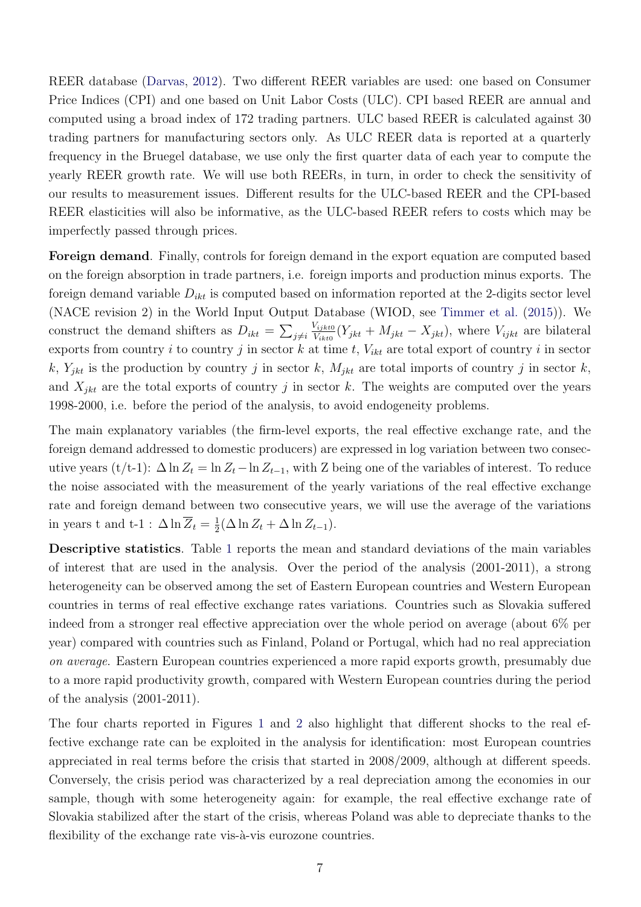REER database [\(Darvas,](#page-22-15) [2012\)](#page-22-15). Two different REER variables are used: one based on Consumer Price Indices (CPI) and one based on Unit Labor Costs (ULC). CPI based REER are annual and computed using a broad index of 172 trading partners. ULC based REER is calculated against 30 trading partners for manufacturing sectors only. As ULC REER data is reported at a quarterly frequency in the Bruegel database, we use only the first quarter data of each year to compute the yearly REER growth rate. We will use both REERs, in turn, in order to check the sensitivity of our results to measurement issues. Different results for the ULC-based REER and the CPI-based REER elasticities will also be informative, as the ULC-based REER refers to costs which may be imperfectly passed through prices.

Foreign demand. Finally, controls for foreign demand in the export equation are computed based on the foreign absorption in trade partners, i.e. foreign imports and production minus exports. The foreign demand variable  $D_{ikt}$  is computed based on information reported at the 2-digits sector level (NACE revision 2) in the World Input Output Database (WIOD, see [Timmer et al.](#page-24-3) [\(2015\)](#page-24-3)). We construct the demand shifters as  $D_{ikt} = \sum_{j \neq i}$  $V_{ijkt0}$  $V_{i,jkt0}^{V_{ijkt0}}(Y_{jkt} + M_{jkt} - X_{jkt}),$  where  $V_{ijkt}$  are bilateral exports from country i to country j in sector k at time t,  $V_{ikt}$  are total export of country i in sector k,  $Y_{jkt}$  is the production by country j in sector k,  $M_{jkt}$  are total imports of country j in sector k, and  $X_{jkt}$  are the total exports of country j in sector k. The weights are computed over the years 1998-2000, i.e. before the period of the analysis, to avoid endogeneity problems.

The main explanatory variables (the firm-level exports, the real effective exchange rate, and the foreign demand addressed to domestic producers) are expressed in log variation between two consecutive years (t/t-1):  $\Delta \ln Z_t = \ln Z_t - \ln Z_{t-1}$ , with Z being one of the variables of interest. To reduce the noise associated with the measurement of the yearly variations of the real effective exchange rate and foreign demand between two consecutive years, we will use the average of the variations in years t and t-1 :  $\Delta \ln \overline{Z}_t = \frac{1}{2}$  $\frac{1}{2}(\Delta \ln Z_t + \Delta \ln Z_{t-1}).$ 

Descriptive statistics. Table [1](#page-25-0) reports the mean and standard deviations of the main variables of interest that are used in the analysis. Over the period of the analysis (2001-2011), a strong heterogeneity can be observed among the set of Eastern European countries and Western European countries in terms of real effective exchange rates variations. Countries such as Slovakia suffered indeed from a stronger real effective appreciation over the whole period on average (about 6% per year) compared with countries such as Finland, Poland or Portugal, which had no real appreciation on average. Eastern European countries experienced a more rapid exports growth, presumably due to a more rapid productivity growth, compared with Western European countries during the period of the analysis (2001-2011).

The four charts reported in Figures [1](#page-26-0) and [2](#page-27-0) also highlight that different shocks to the real effective exchange rate can be exploited in the analysis for identification: most European countries appreciated in real terms before the crisis that started in 2008/2009, although at different speeds. Conversely, the crisis period was characterized by a real depreciation among the economies in our sample, though with some heterogeneity again: for example, the real effective exchange rate of Slovakia stabilized after the start of the crisis, whereas Poland was able to depreciate thanks to the flexibility of the exchange rate vis- $\hat{a}$ -vis eurozone countries.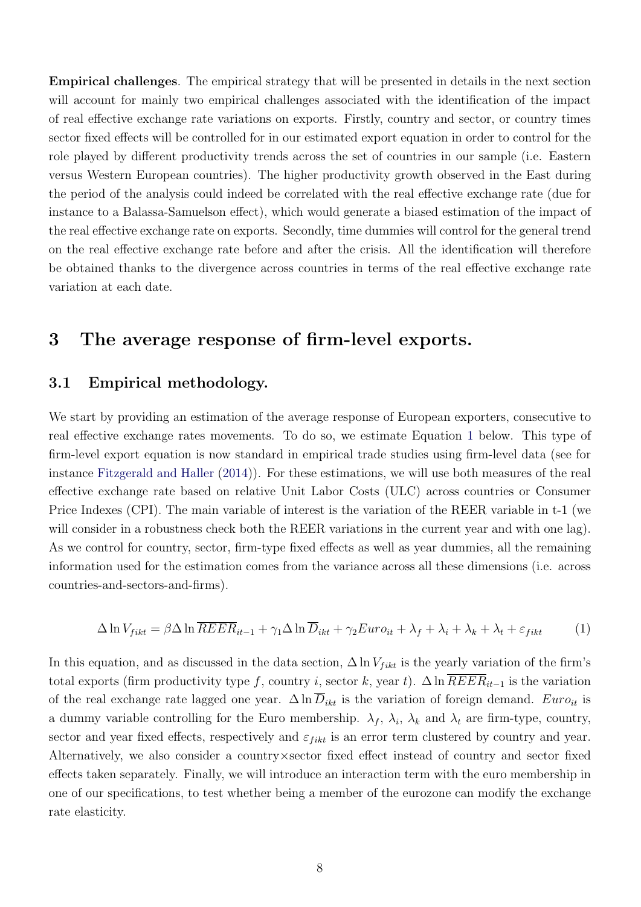Empirical challenges. The empirical strategy that will be presented in details in the next section will account for mainly two empirical challenges associated with the identification of the impact of real effective exchange rate variations on exports. Firstly, country and sector, or country times sector fixed effects will be controlled for in our estimated export equation in order to control for the role played by different productivity trends across the set of countries in our sample (i.e. Eastern versus Western European countries). The higher productivity growth observed in the East during the period of the analysis could indeed be correlated with the real effective exchange rate (due for instance to a Balassa-Samuelson effect), which would generate a biased estimation of the impact of the real effective exchange rate on exports. Secondly, time dummies will control for the general trend on the real effective exchange rate before and after the crisis. All the identification will therefore be obtained thanks to the divergence across countries in terms of the real effective exchange rate variation at each date.

## 3 The average response of firm-level exports.

#### 3.1 Empirical methodology.

We start by providing an estimation of the average response of European exporters, consecutive to real effective exchange rates movements. To do so, we estimate Equation [1](#page-10-0) below. This type of firm-level export equation is now standard in empirical trade studies using firm-level data (see for instance [Fitzgerald and Haller](#page-22-0) [\(2014\)](#page-22-0)). For these estimations, we will use both measures of the real effective exchange rate based on relative Unit Labor Costs (ULC) across countries or Consumer Price Indexes (CPI). The main variable of interest is the variation of the REER variable in t-1 (we will consider in a robustness check both the REER variations in the current year and with one lag). As we control for country, sector, firm-type fixed effects as well as year dummies, all the remaining information used for the estimation comes from the variance across all these dimensions (i.e. across countries-and-sectors-and-firms).

<span id="page-10-0"></span>
$$
\Delta \ln V_{fikt} = \beta \Delta \ln \overline{REER}_{it-1} + \gamma_1 \Delta \ln \overline{D}_{ikt} + \gamma_2 Euro_{it} + \lambda_f + \lambda_i + \lambda_k + \lambda_t + \varepsilon_{fikt}
$$
 (1)

In this equation, and as discussed in the data section,  $\Delta \ln V_{fikt}$  is the yearly variation of the firm's total exports (firm productivity type f, country i, sector k, year t).  $\Delta \ln R E E R_{it-1}$  is the variation of the real exchange rate lagged one year.  $\Delta \ln D_{ikt}$  is the variation of foreign demand.  $Euro_{it}$  is a dummy variable controlling for the Euro membership.  $\lambda_f$ ,  $\lambda_i$ ,  $\lambda_k$  and  $\lambda_t$  are firm-type, country, sector and year fixed effects, respectively and  $\varepsilon_{fikt}$  is an error term clustered by country and year. Alternatively, we also consider a country×sector fixed effect instead of country and sector fixed effects taken separately. Finally, we will introduce an interaction term with the euro membership in one of our specifications, to test whether being a member of the eurozone can modify the exchange rate elasticity.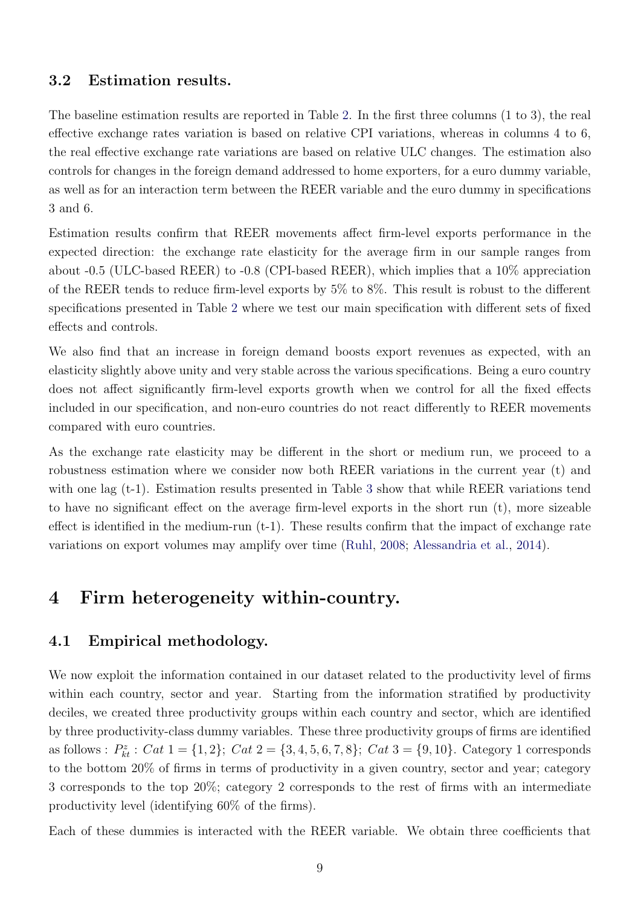#### 3.2 Estimation results.

The baseline estimation results are reported in Table [2.](#page-33-0) In the first three columns (1 to 3), the real effective exchange rates variation is based on relative CPI variations, whereas in columns 4 to 6, the real effective exchange rate variations are based on relative ULC changes. The estimation also controls for changes in the foreign demand addressed to home exporters, for a euro dummy variable, as well as for an interaction term between the REER variable and the euro dummy in specifications 3 and 6.

Estimation results confirm that REER movements affect firm-level exports performance in the expected direction: the exchange rate elasticity for the average firm in our sample ranges from about -0.5 (ULC-based REER) to -0.8 (CPI-based REER), which implies that a 10% appreciation of the REER tends to reduce firm-level exports by 5% to 8%. This result is robust to the different specifications presented in Table [2](#page-33-0) where we test our main specification with different sets of fixed effects and controls.

We also find that an increase in foreign demand boosts export revenues as expected, with an elasticity slightly above unity and very stable across the various specifications. Being a euro country does not affect significantly firm-level exports growth when we control for all the fixed effects included in our specification, and non-euro countries do not react differently to REER movements compared with euro countries.

As the exchange rate elasticity may be different in the short or medium run, we proceed to a robustness estimation where we consider now both REER variations in the current year (t) and with one lag (t-1). Estimation results presented in Table [3](#page-34-0) show that while REER variations tend to have no significant effect on the average firm-level exports in the short run (t), more sizeable effect is identified in the medium-run  $(t-1)$ . These results confirm that the impact of exchange rate variations on export volumes may amplify over time [\(Ruhl,](#page-24-1) [2008;](#page-24-1) [Alessandria et al.,](#page-21-7) [2014\)](#page-21-7).

## 4 Firm heterogeneity within-country.

#### 4.1 Empirical methodology.

We now exploit the information contained in our dataset related to the productivity level of firms within each country, sector and year. Starting from the information stratified by productivity deciles, we created three productivity groups within each country and sector, which are identified by three productivity-class dummy variables. These three productivity groups of firms are identified as follows :  $P_{kt}^z$  :  $Cat\ 1 = \{1, 2\}$ ;  $Cat\ 2 = \{3, 4, 5, 6, 7, 8\}$ ;  $Cat\ 3 = \{9, 10\}$ . Category 1 corresponds to the bottom 20% of firms in terms of productivity in a given country, sector and year; category 3 corresponds to the top 20%; category 2 corresponds to the rest of firms with an intermediate productivity level (identifying 60% of the firms).

Each of these dummies is interacted with the REER variable. We obtain three coefficients that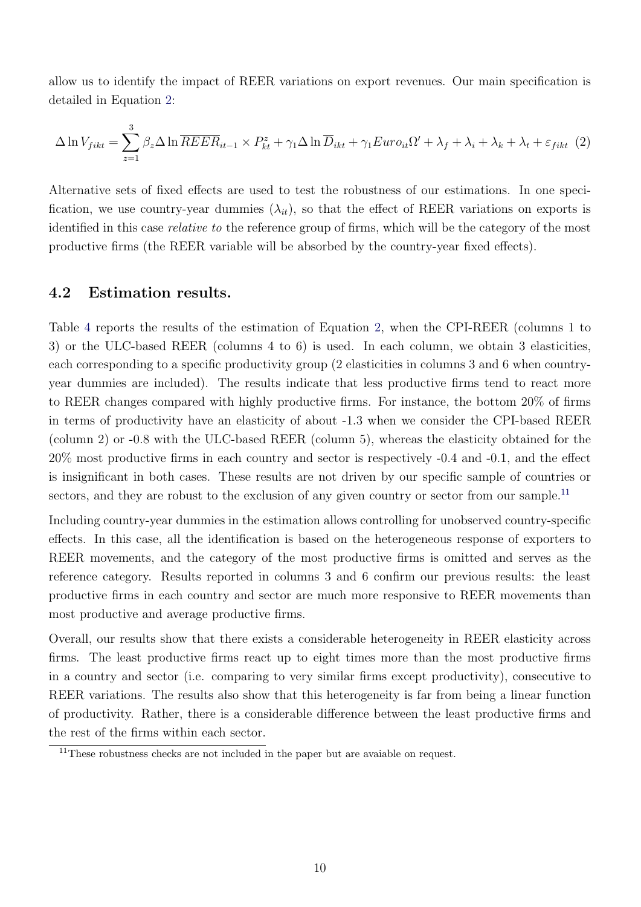allow us to identify the impact of REER variations on export revenues. Our main specification is detailed in Equation [2:](#page-12-0)

<span id="page-12-0"></span>
$$
\Delta \ln V_{fikt} = \sum_{z=1}^{3} \beta_z \Delta \ln \overline{REER}_{it-1} \times P_{kt}^z + \gamma_1 \Delta \ln \overline{D}_{ikt} + \gamma_1 Euro_{it}\Omega' + \lambda_f + \lambda_i + \lambda_k + \lambda_t + \varepsilon_{fikt} \tag{2}
$$

Alternative sets of fixed effects are used to test the robustness of our estimations. In one specification, we use country-year dummies  $(\lambda_{it})$ , so that the effect of REER variations on exports is identified in this case relative to the reference group of firms, which will be the category of the most productive firms (the REER variable will be absorbed by the country-year fixed effects).

#### 4.2 Estimation results.

Table [4](#page-35-0) reports the results of the estimation of Equation [2,](#page-12-0) when the CPI-REER (columns 1 to 3) or the ULC-based REER (columns 4 to 6) is used. In each column, we obtain 3 elasticities, each corresponding to a specific productivity group (2 elasticities in columns 3 and 6 when countryyear dummies are included). The results indicate that less productive firms tend to react more to REER changes compared with highly productive firms. For instance, the bottom 20% of firms in terms of productivity have an elasticity of about -1.3 when we consider the CPI-based REER (column 2) or -0.8 with the ULC-based REER (column 5), whereas the elasticity obtained for the 20% most productive firms in each country and sector is respectively -0.4 and -0.1, and the effect is insignificant in both cases. These results are not driven by our specific sample of countries or sectors, and they are robust to the exclusion of any given country or sector from our sample.<sup>[11](#page-12-1)</sup>

Including country-year dummies in the estimation allows controlling for unobserved country-specific effects. In this case, all the identification is based on the heterogeneous response of exporters to REER movements, and the category of the most productive firms is omitted and serves as the reference category. Results reported in columns 3 and 6 confirm our previous results: the least productive firms in each country and sector are much more responsive to REER movements than most productive and average productive firms.

Overall, our results show that there exists a considerable heterogeneity in REER elasticity across firms. The least productive firms react up to eight times more than the most productive firms in a country and sector (i.e. comparing to very similar firms except productivity), consecutive to REER variations. The results also show that this heterogeneity is far from being a linear function of productivity. Rather, there is a considerable difference between the least productive firms and the rest of the firms within each sector.

<span id="page-12-1"></span><sup>&</sup>lt;sup>11</sup>These robustness checks are not included in the paper but are avaiable on request.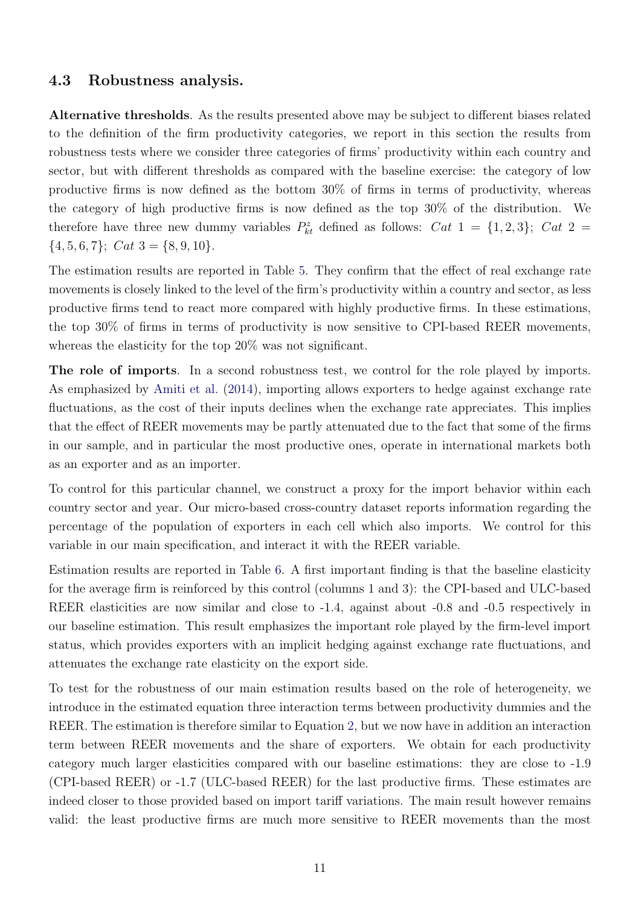#### 4.3 Robustness analysis.

Alternative thresholds. As the results presented above may be subject to different biases related to the definition of the firm productivity categories, we report in this section the results from robustness tests where we consider three categories of firms' productivity within each country and sector, but with different thresholds as compared with the baseline exercise: the category of low productive firms is now defined as the bottom 30% of firms in terms of productivity, whereas the category of high productive firms is now defined as the top 30% of the distribution. We therefore have three new dummy variables  $P_{kt}^z$  defined as follows:  $Cat\ 1 = \{1,2,3\};\ Cat\ 2 =$  ${4, 5, 6, 7}; Cat 3 = {8, 9, 10}.$ 

The estimation results are reported in Table [5.](#page-36-0) They confirm that the effect of real exchange rate movements is closely linked to the level of the firm's productivity within a country and sector, as less productive firms tend to react more compared with highly productive firms. In these estimations, the top 30% of firms in terms of productivity is now sensitive to CPI-based REER movements, whereas the elasticity for the top 20% was not significant.

The role of imports. In a second robustness test, we control for the role played by imports. As emphasized by [Amiti et al.](#page-21-8) [\(2014\)](#page-21-8), importing allows exporters to hedge against exchange rate fluctuations, as the cost of their inputs declines when the exchange rate appreciates. This implies that the effect of REER movements may be partly attenuated due to the fact that some of the firms in our sample, and in particular the most productive ones, operate in international markets both as an exporter and as an importer.

To control for this particular channel, we construct a proxy for the import behavior within each country sector and year. Our micro-based cross-country dataset reports information regarding the percentage of the population of exporters in each cell which also imports. We control for this variable in our main specification, and interact it with the REER variable.

Estimation results are reported in Table [6.](#page-37-0) A first important finding is that the baseline elasticity for the average firm is reinforced by this control (columns 1 and 3): the CPI-based and ULC-based REER elasticities are now similar and close to -1.4, against about -0.8 and -0.5 respectively in our baseline estimation. This result emphasizes the important role played by the firm-level import status, which provides exporters with an implicit hedging against exchange rate fluctuations, and attenuates the exchange rate elasticity on the export side.

To test for the robustness of our main estimation results based on the role of heterogeneity, we introduce in the estimated equation three interaction terms between productivity dummies and the REER. The estimation is therefore similar to Equation [2,](#page-12-0) but we now have in addition an interaction term between REER movements and the share of exporters. We obtain for each productivity category much larger elasticities compared with our baseline estimations: they are close to -1.9 (CPI-based REER) or -1.7 (ULC-based REER) for the last productive firms. These estimates are indeed closer to those provided based on import tariff variations. The main result however remains valid: the least productive firms are much more sensitive to REER movements than the most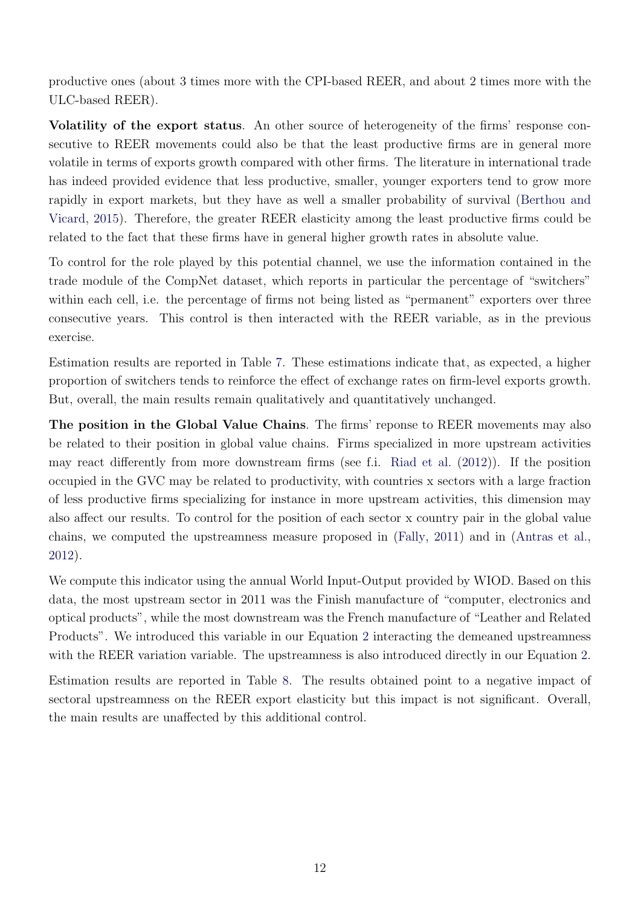productive ones (about 3 times more with the CPI-based REER, and about 2 times more with the ULC-based REER).

Volatility of the export status. An other source of heterogeneity of the firms' response consecutive to REER movements could also be that the least productive firms are in general more volatile in terms of exports growth compared with other firms. The literature in international trade has indeed provided evidence that less productive, smaller, younger exporters tend to grow more rapidly in export markets, but they have as well a smaller probability of survival [\(Berthou and](#page-21-13) [Vicard,](#page-21-13) [2015\)](#page-21-13). Therefore, the greater REER elasticity among the least productive firms could be related to the fact that these firms have in general higher growth rates in absolute value.

To control for the role played by this potential channel, we use the information contained in the trade module of the CompNet dataset, which reports in particular the percentage of "switchers" within each cell, i.e. the percentage of firms not being listed as "permanent" exporters over three consecutive years. This control is then interacted with the REER variable, as in the previous exercise.

Estimation results are reported in Table [7.](#page-38-0) These estimations indicate that, as expected, a higher proportion of switchers tends to reinforce the effect of exchange rates on firm-level exports growth. But, overall, the main results remain qualitatively and quantitatively unchanged.

The position in the Global Value Chains. The firms' reponse to REER movements may also be related to their position in global value chains. Firms specialized in more upstream activities may react differently from more downstream firms (see f.i. [Riad et al.](#page-23-15) [\(2012\)](#page-23-15)). If the position occupied in the GVC may be related to productivity, with countries x sectors with a large fraction of less productive firms specializing for instance in more upstream activities, this dimension may also affect our results. To control for the position of each sector x country pair in the global value chains, we computed the upstreamness measure proposed in [\(Fally,](#page-22-16) [2011\)](#page-22-16) and in [\(Antras et al.,](#page-21-14) [2012\)](#page-21-14).

We compute this indicator using the annual World Input-Output provided by WIOD. Based on this data, the most upstream sector in 2011 was the Finish manufacture of "computer, electronics and optical products", while the most downstream was the French manufacture of "Leather and Related Products". We introduced this variable in our Equation [2](#page-12-0) interacting the demeaned upstreamness with the REER variation variable. The upstreamness is also introduced directly in our Equation [2.](#page-12-0)

Estimation results are reported in Table [8.](#page-39-0) The results obtained point to a negative impact of sectoral upstreamness on the REER export elasticity but this impact is not significant. Overall, the main results are unaffected by this additional control.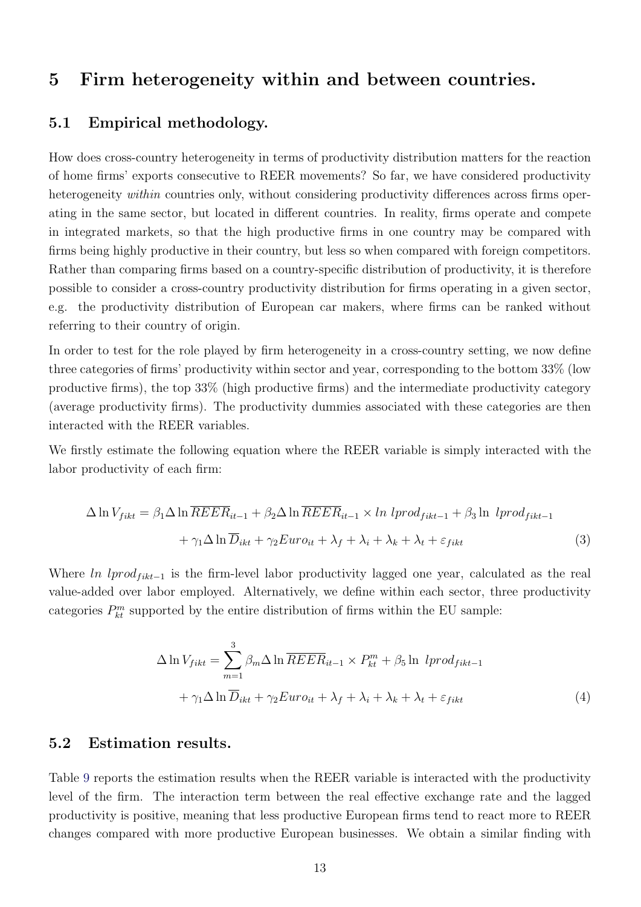## 5 Firm heterogeneity within and between countries.

#### 5.1 Empirical methodology.

How does cross-country heterogeneity in terms of productivity distribution matters for the reaction of home firms' exports consecutive to REER movements? So far, we have considered productivity heterogeneity *within* countries only, without considering productivity differences across firms operating in the same sector, but located in different countries. In reality, firms operate and compete in integrated markets, so that the high productive firms in one country may be compared with firms being highly productive in their country, but less so when compared with foreign competitors. Rather than comparing firms based on a country-specific distribution of productivity, it is therefore possible to consider a cross-country productivity distribution for firms operating in a given sector, e.g. the productivity distribution of European car makers, where firms can be ranked without referring to their country of origin.

In order to test for the role played by firm heterogeneity in a cross-country setting, we now define three categories of firms' productivity within sector and year, corresponding to the bottom 33% (low productive firms), the top 33% (high productive firms) and the intermediate productivity category (average productivity firms). The productivity dummies associated with these categories are then interacted with the REER variables.

We firstly estimate the following equation where the REER variable is simply interacted with the labor productivity of each firm:

$$
\Delta \ln V_{fikt} = \beta_1 \Delta \ln \overline{REER}_{it-1} + \beta_2 \Delta \ln \overline{REER}_{it-1} \times \ln \, lprod_{fikt-1} + \beta_3 \ln \, lprod_{fikt-1} + \gamma_1 \Delta \ln \overline{D}_{ikt} + \gamma_2 Euro_{it} + \lambda_f + \lambda_i + \lambda_k + \varepsilon_{fikt}
$$
\n(3)

Where ln lprod<sub>fikt-1</sub> is the firm-level labor productivity lagged one year, calculated as the real value-added over labor employed. Alternatively, we define within each sector, three productivity categories  $P_{kt}^{m}$  supported by the entire distribution of firms within the EU sample:

$$
\Delta \ln V_{fikt} = \sum_{m=1}^{3} \beta_m \Delta \ln \overline{REER}_{it-1} \times P_{kt}^{m} + \beta_5 \ln lprod_{fikt-1}
$$

$$
+ \gamma_1 \Delta \ln \overline{D}_{ikt} + \gamma_2 Euro_{it} + \lambda_f + \lambda_i + \lambda_k + \lambda_t + \varepsilon_{fikt}
$$
(4)

#### 5.2 Estimation results.

Table [9](#page-40-0) reports the estimation results when the REER variable is interacted with the productivity level of the firm. The interaction term between the real effective exchange rate and the lagged productivity is positive, meaning that less productive European firms tend to react more to REER changes compared with more productive European businesses. We obtain a similar finding with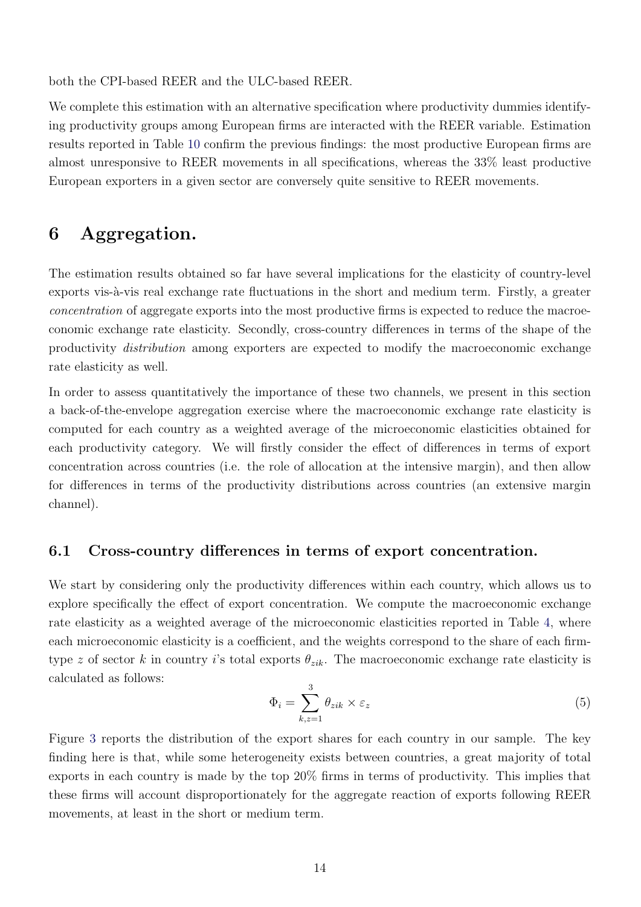both the CPI-based REER and the ULC-based REER.

We complete this estimation with an alternative specification where productivity dummies identifying productivity groups among European firms are interacted with the REER variable. Estimation results reported in Table [10](#page-41-0) confirm the previous findings: the most productive European firms are almost unresponsive to REER movements in all specifications, whereas the 33% least productive European exporters in a given sector are conversely quite sensitive to REER movements.

## 6 Aggregation.

The estimation results obtained so far have several implications for the elasticity of country-level exports vis-à-vis real exchange rate fluctuations in the short and medium term. Firstly, a greater concentration of aggregate exports into the most productive firms is expected to reduce the macroeconomic exchange rate elasticity. Secondly, cross-country differences in terms of the shape of the productivity distribution among exporters are expected to modify the macroeconomic exchange rate elasticity as well.

In order to assess quantitatively the importance of these two channels, we present in this section a back-of-the-envelope aggregation exercise where the macroeconomic exchange rate elasticity is computed for each country as a weighted average of the microeconomic elasticities obtained for each productivity category. We will firstly consider the effect of differences in terms of export concentration across countries (i.e. the role of allocation at the intensive margin), and then allow for differences in terms of the productivity distributions across countries (an extensive margin channel).

#### 6.1 Cross-country differences in terms of export concentration.

We start by considering only the productivity differences within each country, which allows us to explore specifically the effect of export concentration. We compute the macroeconomic exchange rate elasticity as a weighted average of the microeconomic elasticities reported in Table [4,](#page-35-0) where each microeconomic elasticity is a coefficient, and the weights correspond to the share of each firmtype z of sector k in country i's total exports  $\theta_{zik}$ . The macroeconomic exchange rate elasticity is calculated as follows:

$$
\Phi_i = \sum_{k,z=1}^3 \theta_{zik} \times \varepsilon_z \tag{5}
$$

Figure [3](#page-28-0) reports the distribution of the export shares for each country in our sample. The key finding here is that, while some heterogeneity exists between countries, a great majority of total exports in each country is made by the top 20% firms in terms of productivity. This implies that these firms will account disproportionately for the aggregate reaction of exports following REER movements, at least in the short or medium term.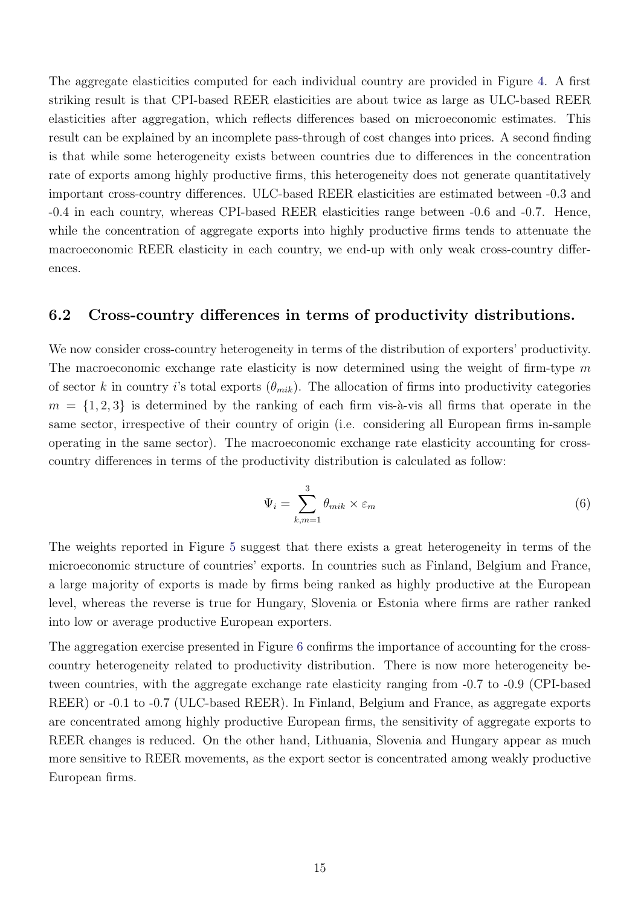The aggregate elasticities computed for each individual country are provided in Figure [4.](#page-29-0) A first striking result is that CPI-based REER elasticities are about twice as large as ULC-based REER elasticities after aggregation, which reflects differences based on microeconomic estimates. This result can be explained by an incomplete pass-through of cost changes into prices. A second finding is that while some heterogeneity exists between countries due to differences in the concentration rate of exports among highly productive firms, this heterogeneity does not generate quantitatively important cross-country differences. ULC-based REER elasticities are estimated between -0.3 and -0.4 in each country, whereas CPI-based REER elasticities range between -0.6 and -0.7. Hence, while the concentration of aggregate exports into highly productive firms tends to attenuate the macroeconomic REER elasticity in each country, we end-up with only weak cross-country differences.

#### 6.2 Cross-country differences in terms of productivity distributions.

We now consider cross-country heterogeneity in terms of the distribution of exporters' productivity. The macroeconomic exchange rate elasticity is now determined using the weight of firm-type  $m$ of sector k in country i's total exports  $(\theta_{mik})$ . The allocation of firms into productivity categories  $m = \{1, 2, 3\}$  is determined by the ranking of each firm vis-à-vis all firms that operate in the same sector, irrespective of their country of origin (i.e. considering all European firms in-sample operating in the same sector). The macroeconomic exchange rate elasticity accounting for crosscountry differences in terms of the productivity distribution is calculated as follow:

$$
\Psi_i = \sum_{k,m=1}^3 \theta_{mik} \times \varepsilon_m \tag{6}
$$

The weights reported in Figure [5](#page-30-0) suggest that there exists a great heterogeneity in terms of the microeconomic structure of countries' exports. In countries such as Finland, Belgium and France, a large majority of exports is made by firms being ranked as highly productive at the European level, whereas the reverse is true for Hungary, Slovenia or Estonia where firms are rather ranked into low or average productive European exporters.

The aggregation exercise presented in Figure [6](#page-31-0) confirms the importance of accounting for the crosscountry heterogeneity related to productivity distribution. There is now more heterogeneity between countries, with the aggregate exchange rate elasticity ranging from -0.7 to -0.9 (CPI-based REER) or  $-0.1$  to  $-0.7$  (ULC-based REER). In Finland, Belgium and France, as aggregate exports are concentrated among highly productive European firms, the sensitivity of aggregate exports to REER changes is reduced. On the other hand, Lithuania, Slovenia and Hungary appear as much more sensitive to REER movements, as the export sector is concentrated among weakly productive European firms.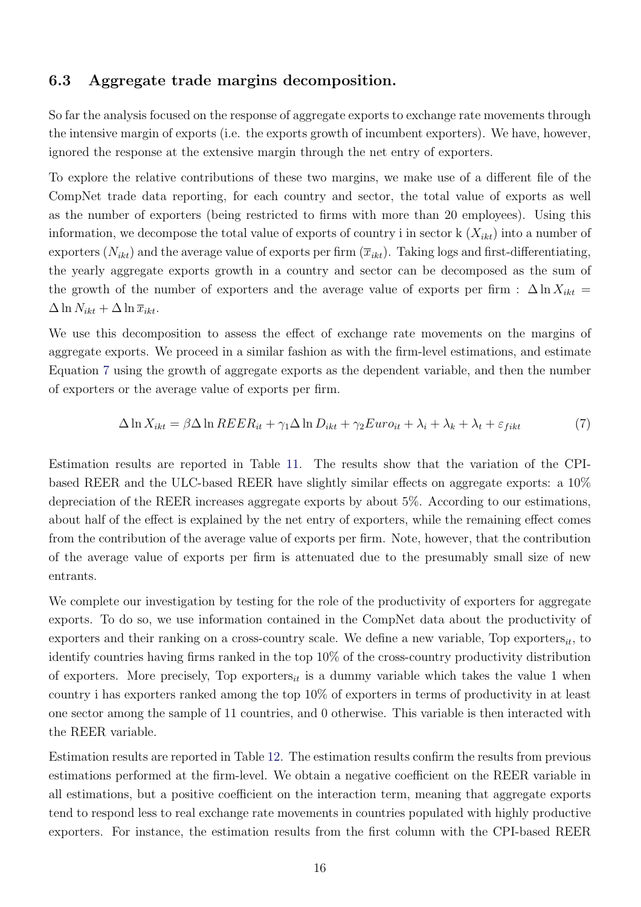#### 6.3 Aggregate trade margins decomposition.

So far the analysis focused on the response of aggregate exports to exchange rate movements through the intensive margin of exports (i.e. the exports growth of incumbent exporters). We have, however, ignored the response at the extensive margin through the net entry of exporters.

To explore the relative contributions of these two margins, we make use of a different file of the CompNet trade data reporting, for each country and sector, the total value of exports as well as the number of exporters (being restricted to firms with more than 20 employees). Using this information, we decompose the total value of exports of country i in sector  $k(X_{ikt})$  into a number of exporters  $(N_{ikt})$  and the average value of exports per firm  $(\overline{x}_{ikt})$ . Taking logs and first-differentiating, the yearly aggregate exports growth in a country and sector can be decomposed as the sum of the growth of the number of exporters and the average value of exports per firm :  $\Delta \ln X_{ikt}$  =  $\Delta \ln N_{ikt} + \Delta \ln \overline{x}_{ikt}.$ 

We use this decomposition to assess the effect of exchange rate movements on the margins of aggregate exports. We proceed in a similar fashion as with the firm-level estimations, and estimate Equation [7](#page-18-0) using the growth of aggregate exports as the dependent variable, and then the number of exporters or the average value of exports per firm.

<span id="page-18-0"></span>
$$
\Delta \ln X_{ikt} = \beta \Delta \ln REER_{it} + \gamma_1 \Delta \ln D_{ikt} + \gamma_2 Euro_{it} + \lambda_i + \lambda_k + \lambda_t + \varepsilon_{fikt}
$$
\n(7)

Estimation results are reported in Table [11.](#page-42-0) The results show that the variation of the CPIbased REER and the ULC-based REER have slightly similar effects on aggregate exports: a 10% depreciation of the REER increases aggregate exports by about 5%. According to our estimations, about half of the effect is explained by the net entry of exporters, while the remaining effect comes from the contribution of the average value of exports per firm. Note, however, that the contribution of the average value of exports per firm is attenuated due to the presumably small size of new entrants.

We complete our investigation by testing for the role of the productivity of exporters for aggregate exports. To do so, we use information contained in the CompNet data about the productivity of exporters and their ranking on a cross-country scale. We define a new variable, Top exporters<sub>it</sub>, to identify countries having firms ranked in the top 10% of the cross-country productivity distribution of exporters. More precisely, Top exporters<sub>it</sub> is a dummy variable which takes the value 1 when country i has exporters ranked among the top 10% of exporters in terms of productivity in at least one sector among the sample of 11 countries, and 0 otherwise. This variable is then interacted with the REER variable.

Estimation results are reported in Table [12.](#page-43-0) The estimation results confirm the results from previous estimations performed at the firm-level. We obtain a negative coefficient on the REER variable in all estimations, but a positive coefficient on the interaction term, meaning that aggregate exports tend to respond less to real exchange rate movements in countries populated with highly productive exporters. For instance, the estimation results from the first column with the CPI-based REER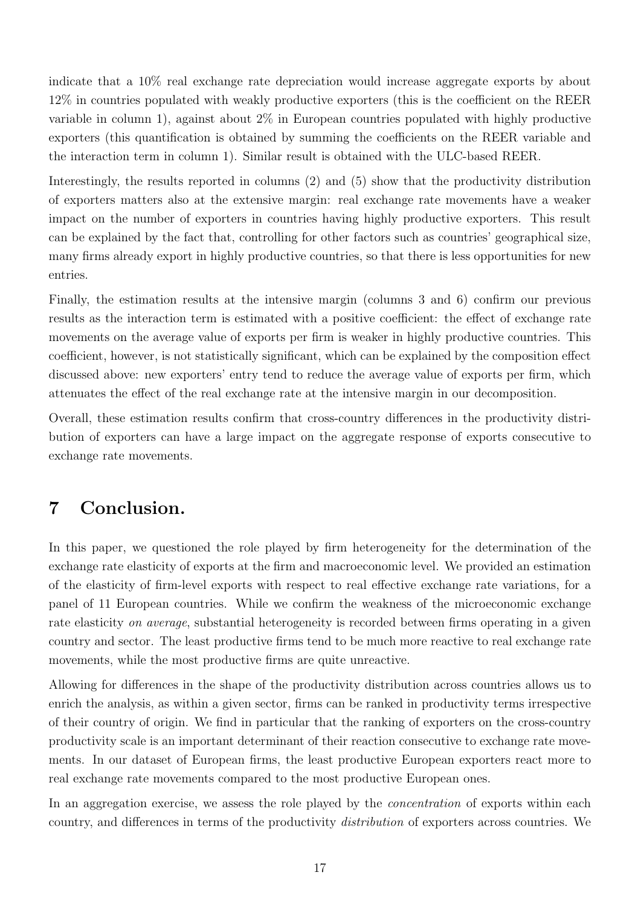indicate that a 10% real exchange rate depreciation would increase aggregate exports by about 12% in countries populated with weakly productive exporters (this is the coefficient on the REER variable in column 1), against about 2% in European countries populated with highly productive exporters (this quantification is obtained by summing the coefficients on the REER variable and the interaction term in column 1). Similar result is obtained with the ULC-based REER.

Interestingly, the results reported in columns (2) and (5) show that the productivity distribution of exporters matters also at the extensive margin: real exchange rate movements have a weaker impact on the number of exporters in countries having highly productive exporters. This result can be explained by the fact that, controlling for other factors such as countries' geographical size, many firms already export in highly productive countries, so that there is less opportunities for new entries.

Finally, the estimation results at the intensive margin (columns 3 and 6) confirm our previous results as the interaction term is estimated with a positive coefficient: the effect of exchange rate movements on the average value of exports per firm is weaker in highly productive countries. This coefficient, however, is not statistically significant, which can be explained by the composition effect discussed above: new exporters' entry tend to reduce the average value of exports per firm, which attenuates the effect of the real exchange rate at the intensive margin in our decomposition.

Overall, these estimation results confirm that cross-country differences in the productivity distribution of exporters can have a large impact on the aggregate response of exports consecutive to exchange rate movements.

## 7 Conclusion.

In this paper, we questioned the role played by firm heterogeneity for the determination of the exchange rate elasticity of exports at the firm and macroeconomic level. We provided an estimation of the elasticity of firm-level exports with respect to real effective exchange rate variations, for a panel of 11 European countries. While we confirm the weakness of the microeconomic exchange rate elasticity on average, substantial heterogeneity is recorded between firms operating in a given country and sector. The least productive firms tend to be much more reactive to real exchange rate movements, while the most productive firms are quite unreactive.

Allowing for differences in the shape of the productivity distribution across countries allows us to enrich the analysis, as within a given sector, firms can be ranked in productivity terms irrespective of their country of origin. We find in particular that the ranking of exporters on the cross-country productivity scale is an important determinant of their reaction consecutive to exchange rate movements. In our dataset of European firms, the least productive European exporters react more to real exchange rate movements compared to the most productive European ones.

In an aggregation exercise, we assess the role played by the *concentration* of exports within each country, and differences in terms of the productivity distribution of exporters across countries. We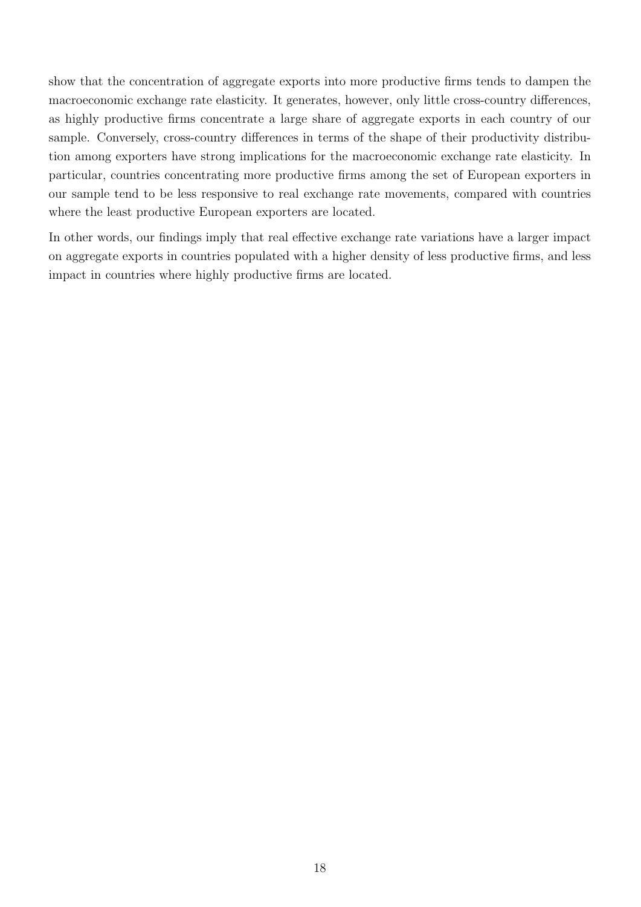show that the concentration of aggregate exports into more productive firms tends to dampen the macroeconomic exchange rate elasticity. It generates, however, only little cross-country differences, as highly productive firms concentrate a large share of aggregate exports in each country of our sample. Conversely, cross-country differences in terms of the shape of their productivity distribution among exporters have strong implications for the macroeconomic exchange rate elasticity. In particular, countries concentrating more productive firms among the set of European exporters in our sample tend to be less responsive to real exchange rate movements, compared with countries where the least productive European exporters are located.

In other words, our findings imply that real effective exchange rate variations have a larger impact on aggregate exports in countries populated with a higher density of less productive firms, and less impact in countries where highly productive firms are located.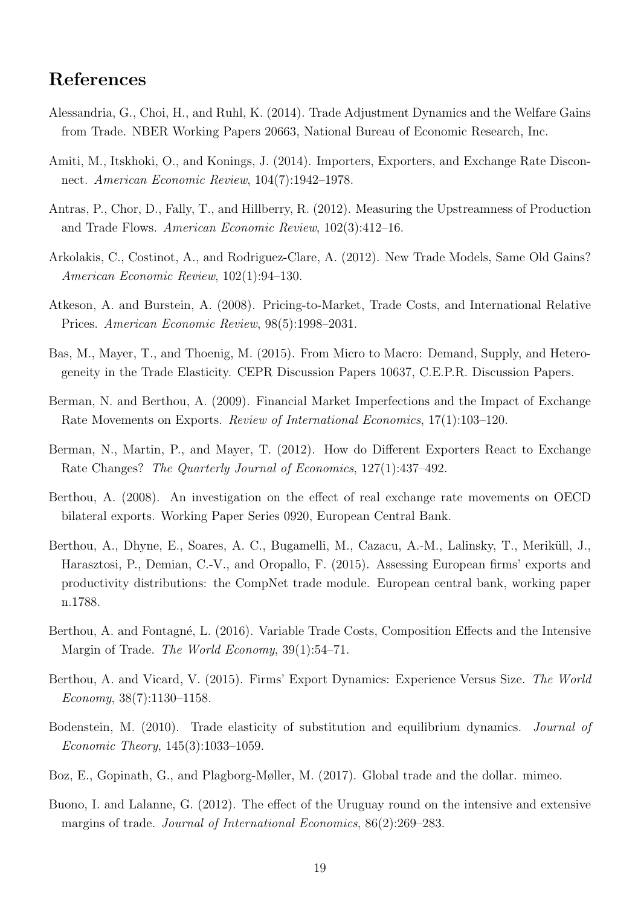## References

- <span id="page-21-7"></span>Alessandria, G., Choi, H., and Ruhl, K. (2014). Trade Adjustment Dynamics and the Welfare Gains from Trade. NBER Working Papers 20663, National Bureau of Economic Research, Inc.
- <span id="page-21-8"></span>Amiti, M., Itskhoki, O., and Konings, J. (2014). Importers, Exporters, and Exchange Rate Disconnect. American Economic Review, 104(7):1942–1978.
- <span id="page-21-14"></span>Antras, P., Chor, D., Fally, T., and Hillberry, R. (2012). Measuring the Upstreamness of Production and Trade Flows. American Economic Review, 102(3):412–16.
- <span id="page-21-10"></span>Arkolakis, C., Costinot, A., and Rodriguez-Clare, A. (2012). New Trade Models, Same Old Gains? American Economic Review, 102(1):94–130.
- <span id="page-21-11"></span>Atkeson, A. and Burstein, A. (2008). Pricing-to-Market, Trade Costs, and International Relative Prices. American Economic Review, 98(5):1998–2031.
- <span id="page-21-3"></span>Bas, M., Mayer, T., and Thoenig, M. (2015). From Micro to Macro: Demand, Supply, and Heterogeneity in the Trade Elasticity. CEPR Discussion Papers 10637, C.E.P.R. Discussion Papers.
- <span id="page-21-5"></span>Berman, N. and Berthou, A. (2009). Financial Market Imperfections and the Impact of Exchange Rate Movements on Exports. Review of International Economics, 17(1):103–120.
- <span id="page-21-0"></span>Berman, N., Martin, P., and Mayer, T. (2012). How do Different Exporters React to Exchange Rate Changes? The Quarterly Journal of Economics, 127(1):437–492.
- <span id="page-21-6"></span>Berthou, A. (2008). An investigation on the effect of real exchange rate movements on OECD bilateral exports. Working Paper Series 0920, European Central Bank.
- <span id="page-21-1"></span>Berthou, A., Dhyne, E., Soares, A. C., Bugamelli, M., Cazacu, A.-M., Lalinsky, T., Meriküll, J., Harasztosi, P., Demian, C.-V., and Oropallo, F. (2015). Assessing European firms' exports and productivity distributions: the CompNet trade module. European central bank, working paper n.1788.
- <span id="page-21-4"></span>Berthou, A. and Fontagné, L. (2016). Variable Trade Costs, Composition Effects and the Intensive Margin of Trade. *The World Economy*, 39(1):54–71.
- <span id="page-21-13"></span>Berthou, A. and Vicard, V. (2015). Firms' Export Dynamics: Experience Versus Size. The World Economy,  $38(7):1130-1158$ .
- <span id="page-21-9"></span>Bodenstein, M. (2010). Trade elasticity of substitution and equilibrium dynamics. *Journal of* Economic Theory, 145(3):1033–1059.
- <span id="page-21-12"></span>Boz, E., Gopinath, G., and Plagborg-Møller, M. (2017). Global trade and the dollar. mimeo.
- <span id="page-21-2"></span>Buono, I. and Lalanne, G. (2012). The effect of the Uruguay round on the intensive and extensive margins of trade. Journal of International Economics, 86(2):269–283.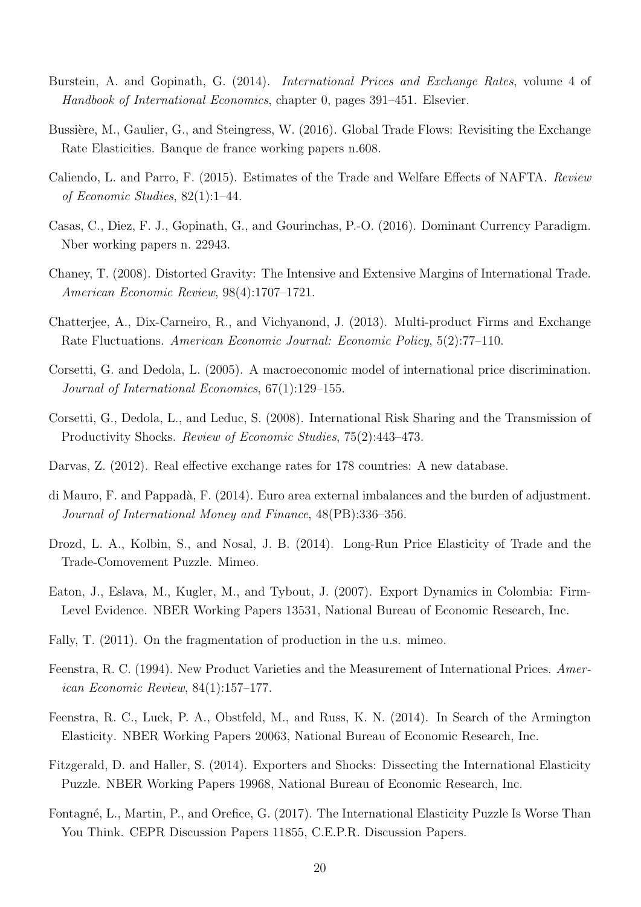- <span id="page-22-12"></span>Burstein, A. and Gopinath, G. (2014). *International Prices and Exchange Rates*, volume 4 of Handbook of International Economics, chapter 0, pages 391–451. Elsevier.
- <span id="page-22-4"></span>Bussière, M., Gaulier, G., and Steingress, W. (2016). Global Trade Flows: Revisiting the Exchange Rate Elasticities. Banque de france working papers n.608.
- <span id="page-22-3"></span>Caliendo, L. and Parro, F. (2015). Estimates of the Trade and Welfare Effects of NAFTA. Review of Economic Studies, 82(1):1–44.
- <span id="page-22-14"></span>Casas, C., Diez, F. J., Gopinath, G., and Gourinchas, P.-O. (2016). Dominant Currency Paradigm. Nber working papers n. 22943.
- <span id="page-22-6"></span>Chaney, T. (2008). Distorted Gravity: The Intensive and Extensive Margins of International Trade. American Economic Review, 98(4):1707–1721.
- <span id="page-22-5"></span>Chatterjee, A., Dix-Carneiro, R., and Vichyanond, J. (2013). Multi-product Firms and Exchange Rate Fluctuations. American Economic Journal: Economic Policy, 5(2):77–110.
- <span id="page-22-13"></span>Corsetti, G. and Dedola, L. (2005). A macroeconomic model of international price discrimination. Journal of International Economics, 67(1):129–155.
- <span id="page-22-8"></span>Corsetti, G., Dedola, L., and Leduc, S. (2008). International Risk Sharing and the Transmission of Productivity Shocks. Review of Economic Studies, 75(2):443–473.
- <span id="page-22-15"></span>Darvas, Z. (2012). Real effective exchange rates for 178 countries: A new database.
- <span id="page-22-11"></span>di Mauro, F. and Pappadà, F. (2014). Euro area external imbalances and the burden of adjustment. Journal of International Money and Finance, 48(PB):336–356.
- <span id="page-22-9"></span>Drozd, L. A., Kolbin, S., and Nosal, J. B. (2014). Long-Run Price Elasticity of Trade and the Trade-Comovement Puzzle. Mimeo.
- <span id="page-22-10"></span>Eaton, J., Eslava, M., Kugler, M., and Tybout, J. (2007). Export Dynamics in Colombia: Firm-Level Evidence. NBER Working Papers 13531, National Bureau of Economic Research, Inc.
- <span id="page-22-16"></span>Fally, T. (2011). On the fragmentation of production in the u.s. mimeo.
- <span id="page-22-2"></span>Feenstra, R. C. (1994). New Product Varieties and the Measurement of International Prices. American Economic Review, 84(1):157–177.
- <span id="page-22-7"></span>Feenstra, R. C., Luck, P. A., Obstfeld, M., and Russ, K. N. (2014). In Search of the Armington Elasticity. NBER Working Papers 20063, National Bureau of Economic Research, Inc.
- <span id="page-22-0"></span>Fitzgerald, D. and Haller, S. (2014). Exporters and Shocks: Dissecting the International Elasticity Puzzle. NBER Working Papers 19968, National Bureau of Economic Research, Inc.
- <span id="page-22-1"></span>Fontagné, L., Martin, P., and Orefice, G. (2017). The International Elasticity Puzzle Is Worse Than You Think. CEPR Discussion Papers 11855, C.E.P.R. Discussion Papers.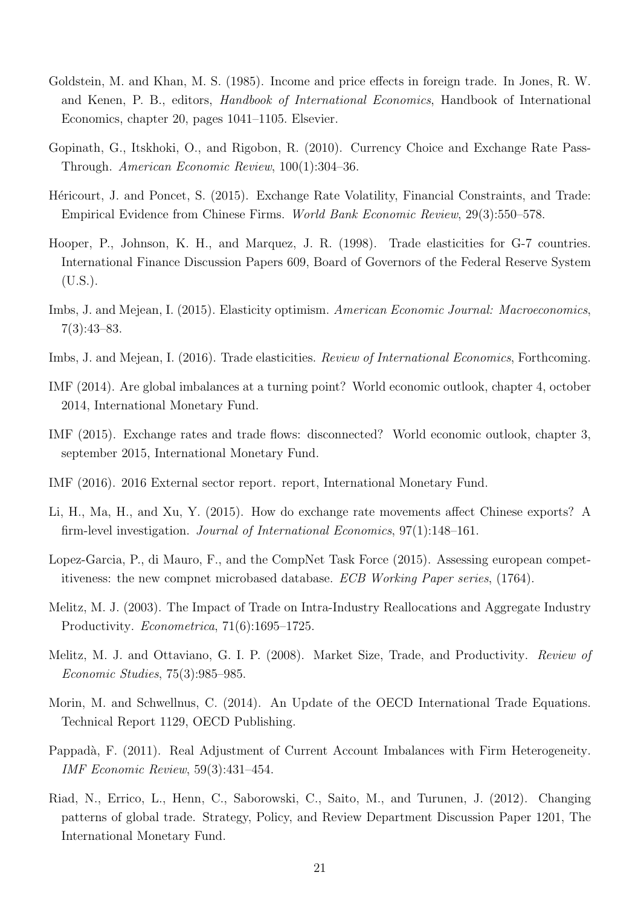- <span id="page-23-2"></span>Goldstein, M. and Khan, M. S. (1985). Income and price effects in foreign trade. In Jones, R. W. and Kenen, P. B., editors, Handbook of International Economics, Handbook of International Economics, chapter 20, pages 1041–1105. Elsevier.
- <span id="page-23-13"></span>Gopinath, G., Itskhoki, O., and Rigobon, R. (2010). Currency Choice and Exchange Rate Pass-Through. American Economic Review, 100(1):304–36.
- <span id="page-23-10"></span>Héricourt, J. and Poncet, S. (2015). Exchange Rate Volatility, Financial Constraints, and Trade: Empirical Evidence from Chinese Firms. World Bank Economic Review, 29(3):550–578.
- <span id="page-23-3"></span>Hooper, P., Johnson, K. H., and Marquez, J. R. (1998). Trade elasticities for G-7 countries. International Finance Discussion Papers 609, Board of Governors of the Federal Reserve System  $(U.S.).$
- <span id="page-23-6"></span>Imbs, J. and Mejean, I. (2015). Elasticity optimism. American Economic Journal: Macroeconomics, 7(3):43–83.
- <span id="page-23-7"></span>Imbs, J. and Mejean, I. (2016). Trade elasticities. Review of International Economics, Forthcoming.
- <span id="page-23-0"></span>IMF (2014). Are global imbalances at a turning point? World economic outlook, chapter 4, october 2014, International Monetary Fund.
- <span id="page-23-5"></span>IMF (2015). Exchange rates and trade flows: disconnected? World economic outlook, chapter 3, september 2015, International Monetary Fund.
- <span id="page-23-1"></span>IMF (2016). 2016 External sector report. report, International Monetary Fund.
- <span id="page-23-8"></span>Li, H., Ma, H., and Xu, Y. (2015). How do exchange rate movements affect Chinese exports? A firm-level investigation. Journal of International Economics, 97(1):148–161.
- <span id="page-23-14"></span>Lopez-Garcia, P., di Mauro, F., and the CompNet Task Force (2015). Assessing european competitiveness: the new compnet microbased database. ECB Working Paper series, (1764).
- <span id="page-23-9"></span>Melitz, M. J. (2003). The Impact of Trade on Intra-Industry Reallocations and Aggregate Industry Productivity. Econometrica, 71(6):1695–1725.
- <span id="page-23-11"></span>Melitz, M. J. and Ottaviano, G. I. P. (2008). Market Size, Trade, and Productivity. Review of Economic Studies, 75(3):985–985.
- <span id="page-23-4"></span>Morin, M. and Schwellnus, C. (2014). An Update of the OECD International Trade Equations. Technical Report 1129, OECD Publishing.
- <span id="page-23-12"></span>Pappadà, F. (2011). Real Adjustment of Current Account Imbalances with Firm Heterogeneity. IMF Economic Review, 59(3):431–454.
- <span id="page-23-15"></span>Riad, N., Errico, L., Henn, C., Saborowski, C., Saito, M., and Turunen, J. (2012). Changing patterns of global trade. Strategy, Policy, and Review Department Discussion Paper 1201, The International Monetary Fund.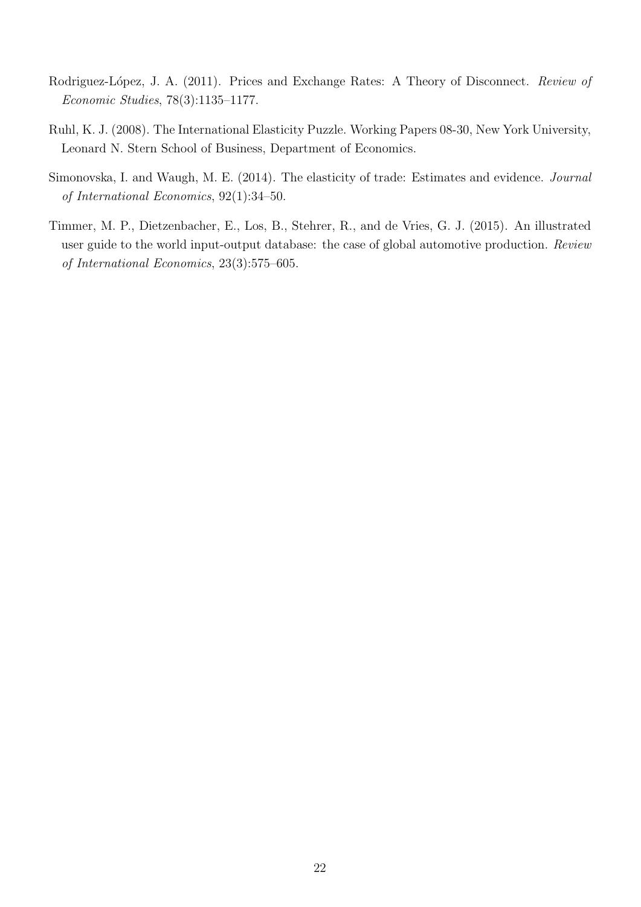- <span id="page-24-0"></span>Rodriguez-López, J. A. (2011). Prices and Exchange Rates: A Theory of Disconnect. Review of Economic Studies, 78(3):1135–1177.
- <span id="page-24-1"></span>Ruhl, K. J. (2008). The International Elasticity Puzzle. Working Papers 08-30, New York University, Leonard N. Stern School of Business, Department of Economics.
- <span id="page-24-2"></span>Simonovska, I. and Waugh, M. E. (2014). The elasticity of trade: Estimates and evidence. Journal of International Economics, 92(1):34–50.
- <span id="page-24-3"></span>Timmer, M. P., Dietzenbacher, E., Los, B., Stehrer, R., and de Vries, G. J. (2015). An illustrated user guide to the world input-output database: the case of global automotive production. Review of International Economics, 23(3):575–605.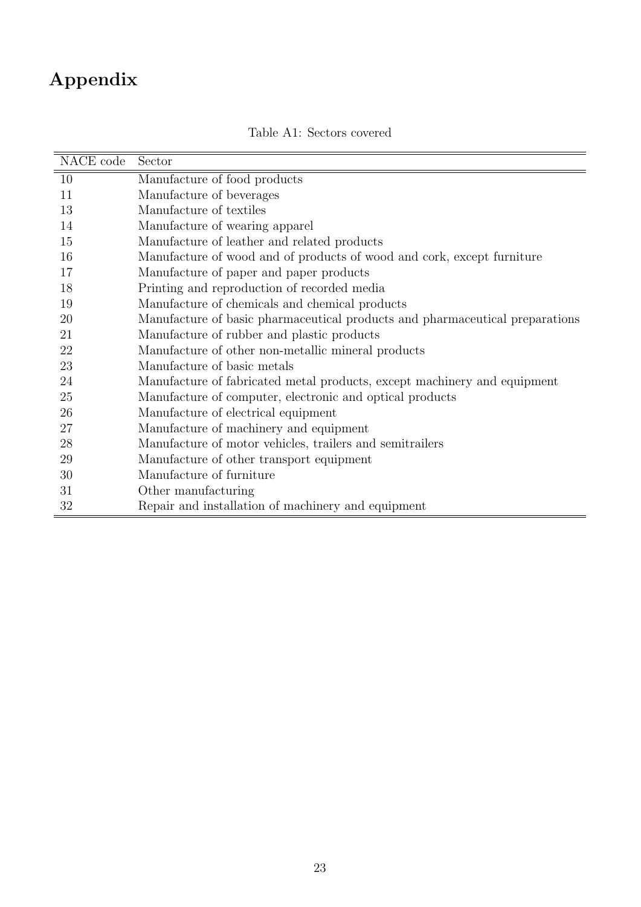# Appendix

 $\overline{\phantom{a}}$ 

| NACE code | Sector                                                                       |
|-----------|------------------------------------------------------------------------------|
| 10        | Manufacture of food products                                                 |
| 11        | Manufacture of beverages                                                     |
| 13        | Manufacture of textiles                                                      |
| 14        | Manufacture of wearing apparel                                               |
| 15        | Manufacture of leather and related products                                  |
| 16        | Manufacture of wood and of products of wood and cork, except furniture       |
| 17        | Manufacture of paper and paper products                                      |
| 18        | Printing and reproduction of recorded media                                  |
| 19        | Manufacture of chemicals and chemical products                               |
| 20        | Manufacture of basic pharmaceutical products and pharmaceutical preparations |
| 21        | Manufacture of rubber and plastic products                                   |
| 22        | Manufacture of other non-metallic mineral products                           |
| 23        | Manufacture of basic metals                                                  |
| 24        | Manufacture of fabricated metal products, except machinery and equipment     |
| 25        | Manufacture of computer, electronic and optical products                     |
| 26        | Manufacture of electrical equipment                                          |
| 27        | Manufacture of machinery and equipment                                       |
| 28        | Manufacture of motor vehicles, trailers and semitrailers                     |
| 29        | Manufacture of other transport equipment                                     |
| 30        | Manufacture of furniture                                                     |
| 31        | Other manufacturing                                                          |
| 32        | Repair and installation of machinery and equipment                           |

<span id="page-25-0"></span>Table A1: Sectors covered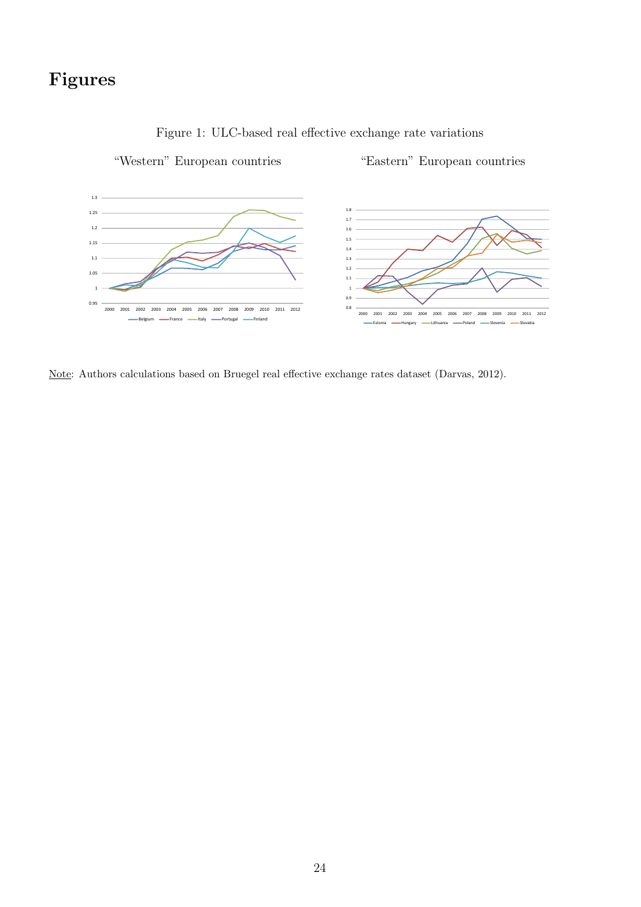## Figures



<span id="page-26-0"></span>

Note: Authors calculations based on Bruegel real effective exchange rates dataset (Darvas, 2012).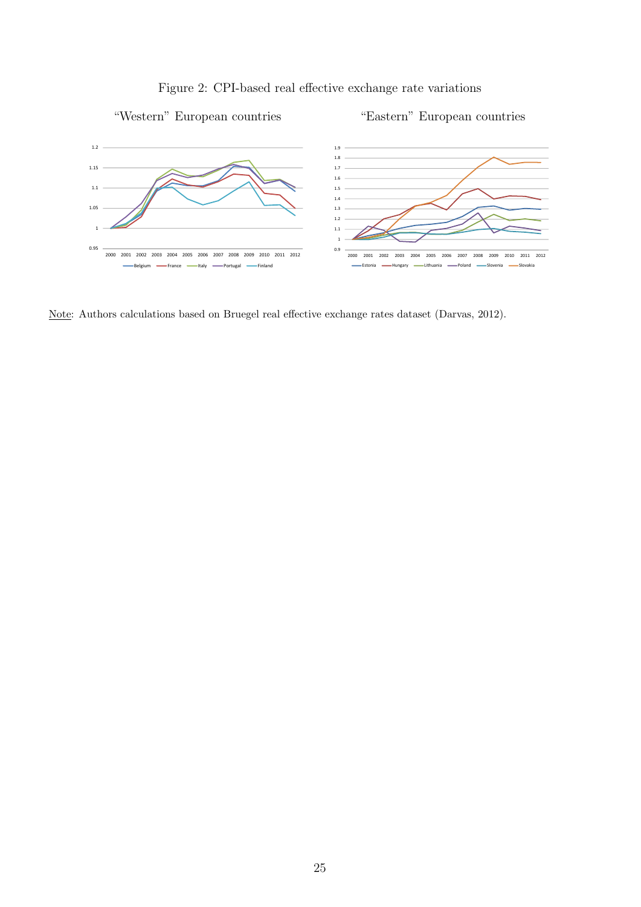<span id="page-27-0"></span>





Note: Authors calculations based on Bruegel real effective exchange rates dataset (Darvas, 2012).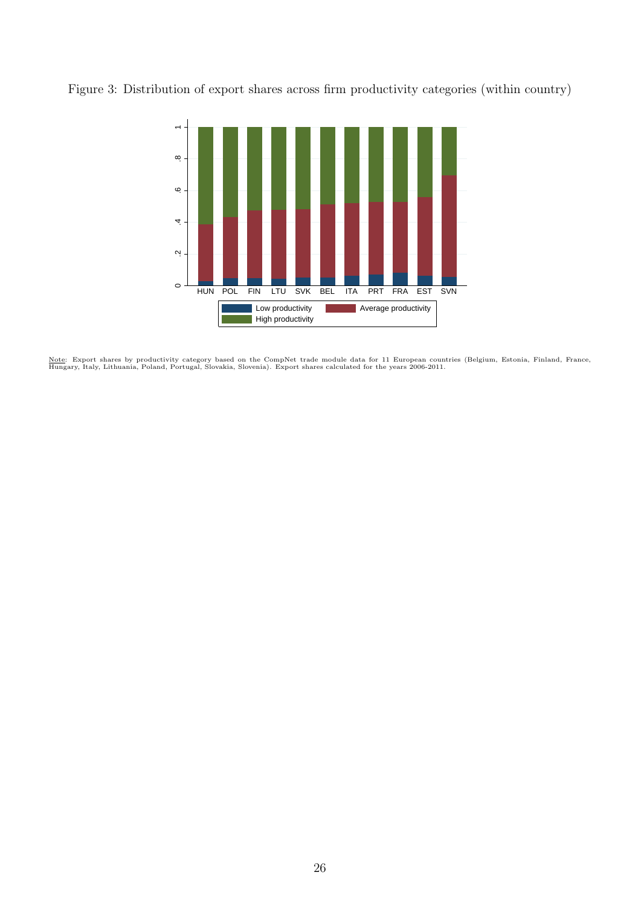Figure 3: Distribution of export shares across firm productivity categories (within country)

<span id="page-28-0"></span>

<u>Note</u>: Export shares by productivity category based on the CompNet trade module data for 11 European countries (Belgium, Estonia, Finland, France,<br>Hungary, Italy, Lithuania, Poland, Portugal, Slovakia, Slovenia). Export s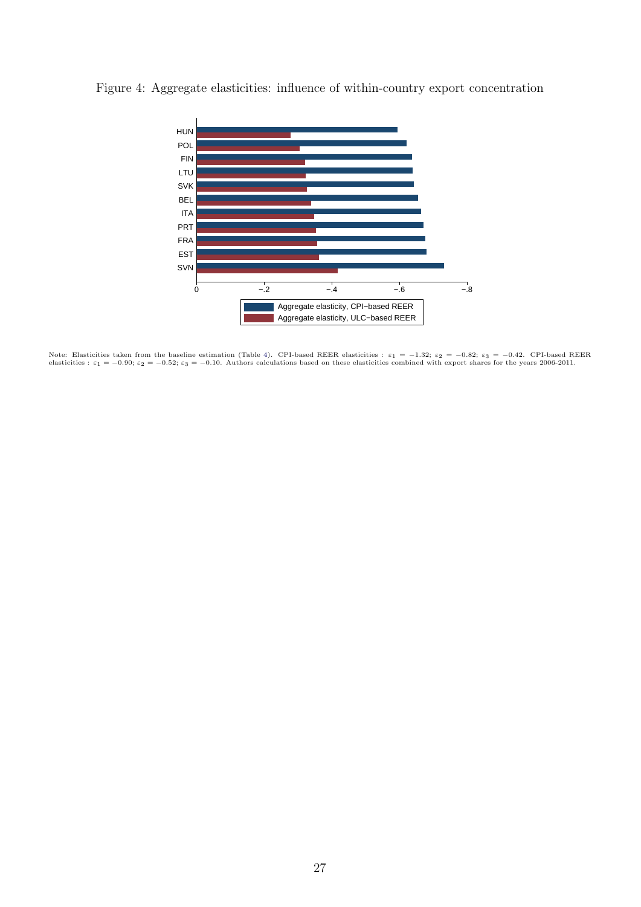<span id="page-29-0"></span>

Figure 4: Aggregate elasticities: influence of within-country export concentration

Note: Elasticities taken from the baseline estimation (Table [4\)](#page-35-0). CPI-based REER elasticities :  $\varepsilon_1 = -1.32$ ;  $\varepsilon_2 = -0.82$ ;  $\varepsilon_3 = -0.42$ . CPI-based REER elasticities :  $\varepsilon_1 = -1.32$ ;  $\varepsilon_2 = -0.82$ ;  $\varepsilon_3 = -0.42$ . CPI-ba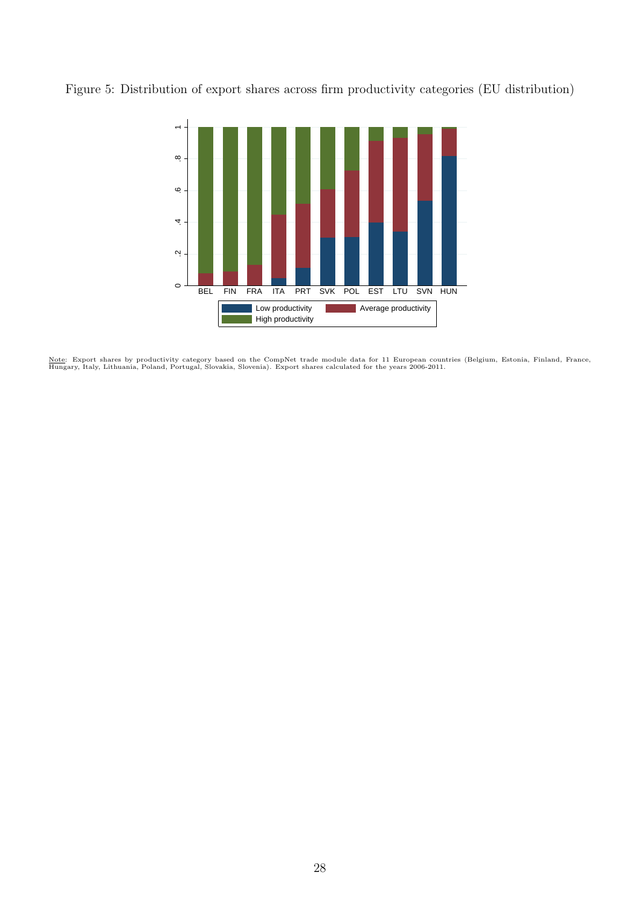Figure 5: Distribution of export shares across firm productivity categories (EU distribution)

<span id="page-30-0"></span>

<u>Note</u>: Export shares by productivity category based on the CompNet trade module data for 11 European countries (Belgium, Estonia, Finland, France,<br>Hungary, Italy, Lithuania, Poland, Portugal, Slovakia, Slovenia). Export s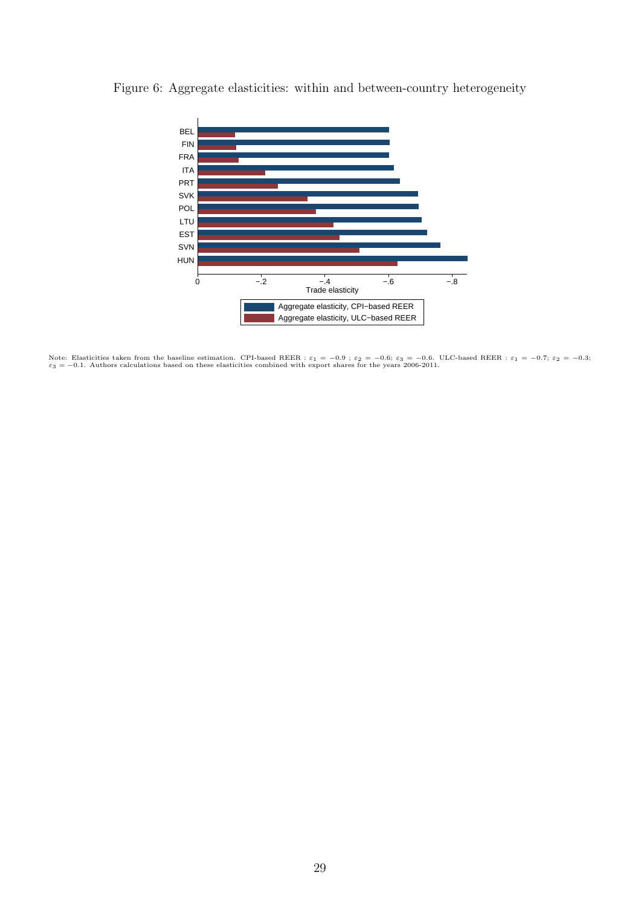<span id="page-31-0"></span>

Figure 6: Aggregate elasticities: within and between-country heterogeneity

Note: Elasticities taken from the baseline estimation. CPI-based REER :  $\varepsilon_1 = -0.9$ ;  $\varepsilon_2 = -0.6$ ;  $\varepsilon_3 = -0.6$ . ULC-based REER :  $\varepsilon_1 = -0.7$ ;  $\varepsilon_2 = -0.3$ ;  $\varepsilon_3 = -0.1$ . Authors calculations based on these elasticities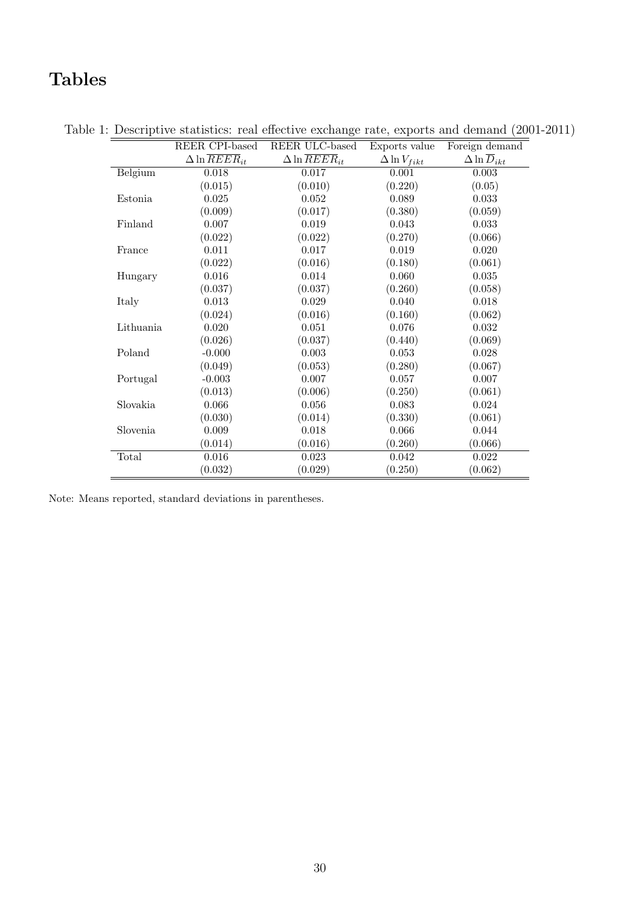# Tables

|           | REER CPI-based                    | REER ULC-based                    | Exports value         | Foreign demand                  |
|-----------|-----------------------------------|-----------------------------------|-----------------------|---------------------------------|
|           | $\Delta \ln \overline{REER}_{it}$ | $\Delta \ln \overline{REER}_{it}$ | $\Delta \ln V_{fikt}$ | $\Delta \ln \overline{D}_{ikt}$ |
| Belgium   | 0.018                             | 0.017                             | 0.001                 | 0.003                           |
|           | (0.015)                           | (0.010)                           | (0.220)               | (0.05)                          |
| Estonia   | 0.025                             | 0.052                             | 0.089                 | 0.033                           |
|           | (0.009)                           | (0.017)                           | (0.380)               | (0.059)                         |
| Finland   | 0.007                             | 0.019                             | 0.043                 | 0.033                           |
|           | (0.022)                           | (0.022)                           | (0.270)               | (0.066)                         |
| France    | 0.011                             | 0.017                             | 0.019                 | 0.020                           |
|           | (0.022)                           | (0.016)                           | (0.180)               | (0.061)                         |
| Hungary   | 0.016                             | 0.014                             | 0.060                 | 0.035                           |
|           | (0.037)                           | (0.037)                           | (0.260)               | (0.058)                         |
| Italy     | 0.013                             | 0.029                             | 0.040                 | 0.018                           |
|           | (0.024)                           | (0.016)                           | (0.160)               | (0.062)                         |
| Lithuania | 0.020                             | 0.051                             | $0.076\,$             | 0.032                           |
|           | (0.026)                           | (0.037)                           | (0.440)               | (0.069)                         |
| Poland    | $-0.000$                          | 0.003                             | 0.053                 | 0.028                           |
|           | (0.049)                           | (0.053)                           | (0.280)               | (0.067)                         |
| Portugal  | $-0.003$                          | 0.007                             | 0.057                 | 0.007                           |
|           | (0.013)                           | (0.006)                           | (0.250)               | (0.061)                         |
| Slovakia  | 0.066                             | 0.056                             | 0.083                 | 0.024                           |
|           | (0.030)                           | (0.014)                           | (0.330)               | (0.061)                         |
| Slovenia  | $0.009\,$                         | $0.018\,$                         | 0.066                 | 0.044                           |
|           | (0.014)                           | (0.016)                           | (0.260)               | (0.066)                         |
| Total     | $0.016\,$                         | 0.023                             | 0.042                 | $0.022\,$                       |
|           | (0.032)                           | (0.029)                           | (0.250)               | (0.062)                         |

Table 1: Descriptive statistics: real effective exchange rate, exports and demand (2001-2011)

Note: Means reported, standard deviations in parentheses.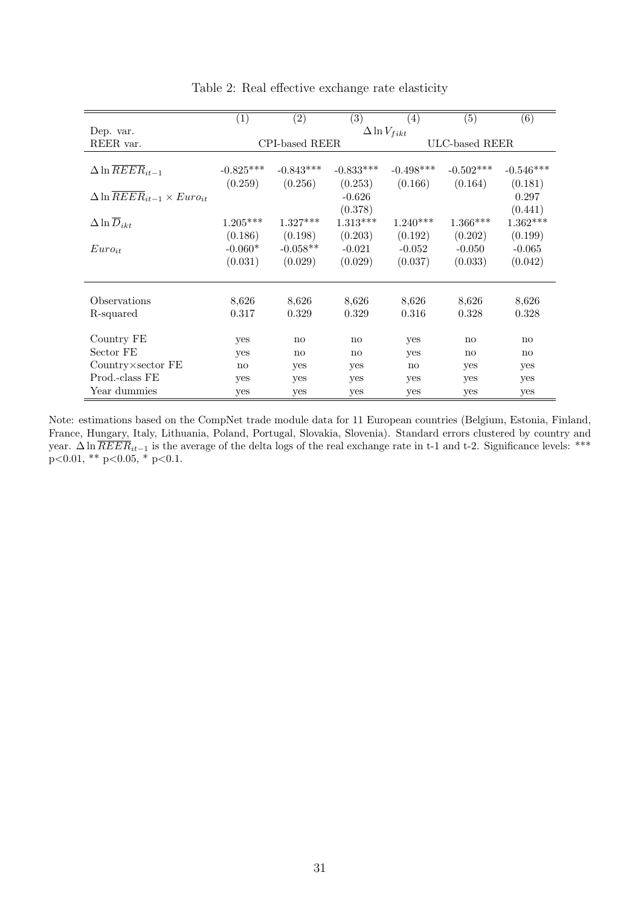|                                                      | (1)             | $\left( 2\right)$ | (3)                    | $\left( 4\right)$     | (5)            | (6)          |
|------------------------------------------------------|-----------------|-------------------|------------------------|-----------------------|----------------|--------------|
| Dep. var.                                            |                 |                   |                        | $\Delta \ln V_{fikt}$ |                |              |
| REER var.                                            |                 | CPI-based REER    |                        |                       | ULC-based REER |              |
|                                                      |                 |                   |                        |                       |                |              |
| $\Delta \ln \overline{REER}_{it-1}$                  | $-0.825***$     | $-0.843***$       | $-0.833***$            | $-0.498***$           | $-0.502***$    | $-0.546***$  |
|                                                      | (0.259)         | (0.256)           | (0.253)                | (0.166)               | (0.164)        | (0.181)      |
| $\Delta \ln \overline{REER}_{it-1} \times Euro_{it}$ |                 |                   | $-0.626$               |                       |                | 0.297        |
|                                                      |                 |                   | (0.378)                |                       |                | (0.441)      |
| $\Delta \ln \overline{D}_{ikt}$                      | $1.205^{***}\,$ | $1.327***$        | $1.313***$             | $1.240***$            | $1.366***$     | $1.362***$   |
|                                                      | (0.186)         | (0.198)           | (0.203)                | (0.192)               | (0.202)        | (0.199)      |
| $Euro_{it}$                                          | $-0.060*$       | $-0.058**$        | $-0.021$               | $-0.052$              | $-0.050$       | $-0.065$     |
|                                                      | (0.031)         | (0.029)           | (0.029)                | (0.037)               | (0.033)        | (0.042)      |
|                                                      |                 |                   |                        |                       |                |              |
| Observations                                         |                 |                   |                        |                       |                |              |
|                                                      | 8,626           | 8,626             | 8,626                  | 8,626                 | 8,626          | 8,626        |
| R-squared                                            | 0.317           | 0.329             | 0.329                  | 0.316                 | 0.328          | 0.328        |
| Country FE                                           |                 |                   |                        |                       |                |              |
|                                                      | yes             | $\mathbf{n}$      | $\mathbf{n}\mathbf{o}$ | yes                   | $\mathbf{n}$   | $\mathbf{n}$ |
| Sector FE                                            | yes             | $\mathbf{n}$      | no                     | yes                   | $\mathbf{n}$   | $\mathbf{n}$ |
| $Country \times sector$ FE                           | $\mathbf{n}$    | yes               | yes                    | $\mathbf{n}$          | yes            | yes          |
| Prod.-class FE                                       | yes             | yes               | yes                    | yes                   | yes            | yes          |
| Year dummies                                         | yes             | yes               | yes                    | yes                   | yes            | yes          |

<span id="page-33-0"></span>Table 2: Real effective exchange rate elasticity

Note: estimations based on the CompNet trade module data for 11 European countries (Belgium, Estonia, Finland, France, Hungary, Italy, Lithuania, Poland, Portugal, Slovakia, Slovenia). Standard errors clustered by country and year.  $\Delta \ln REER_{it-1}$  is the average of the delta logs of the real exchange rate in t-1 and t-2. Significance levels: \*\*\*  $p<0.01$ , \*\*  $p<0.05$ , \*  $p<0.1$ .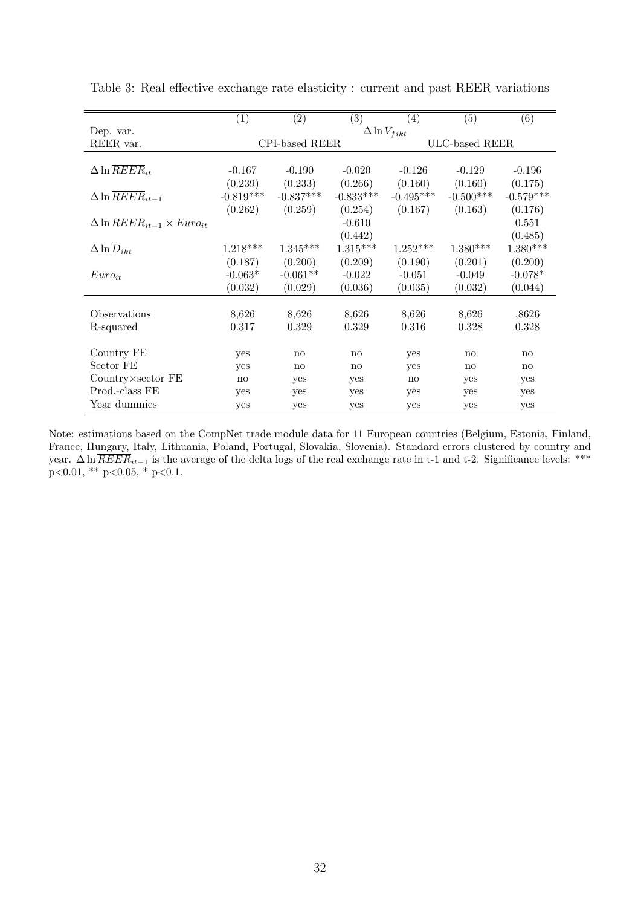|                                                      | (1)          | (2)            | (3)          | $\left( 4\right)$     | (5)            | (6)                    |
|------------------------------------------------------|--------------|----------------|--------------|-----------------------|----------------|------------------------|
| Dep. var.                                            |              |                |              | $\Delta \ln V_{fikt}$ |                |                        |
| REER var.                                            |              | CPI-based REER |              |                       | ULC-based REER |                        |
|                                                      |              |                |              |                       |                |                        |
| $\Delta \ln \overline{REER}_{it}$                    | $-0.167$     | $-0.190$       | $-0.020$     | $-0.126$              | $-0.129$       | $-0.196$               |
|                                                      | (0.239)      | (0.233)        | (0.266)      | (0.160)               | (0.160)        | (0.175)                |
| $\Delta \ln \overline{REER}_{it-1}$                  | $-0.819***$  | $-0.837***$    | $-0.833***$  | $-0.495***$           | $-0.500***$    | $-0.579***$            |
|                                                      | (0.262)      | (0.259)        | (0.254)      | (0.167)               | (0.163)        | (0.176)                |
| $\Delta \ln \overline{REER}_{it-1} \times Euro_{it}$ |              |                | $-0.610$     |                       |                | 0.551                  |
|                                                      |              |                | (0.442)      |                       |                | (0.485)                |
| $\Delta \ln \overline{D}_{ikt}$                      | $1.218***$   | $1.345***$     | $1.315***$   | $1.252***$            | $1.380***$     | $1.380***$             |
|                                                      | (0.187)      | (0.200)        | (0.209)      | (0.190)               | (0.201)        | (0.200)                |
| $Euro_{it}$                                          | $-0.063*$    | $-0.061**$     | $-0.022$     | $-0.051$              | $-0.049$       | $-0.078*$              |
|                                                      | (0.032)      | (0.029)        | (0.036)      | (0.035)               | (0.032)        | (0.044)                |
|                                                      |              |                |              |                       |                |                        |
| Observations                                         | 8,626        | 8,626          | 8,626        | 8,626                 | 8,626          | ,8626                  |
| R-squared                                            | 0.317        | 0.329          | 0.329        | 0.316                 | 0.328          | 0.328                  |
|                                                      |              |                |              |                       |                |                        |
| Country FE                                           | yes          | $\mathbf{n}$   | $\mathbf{n}$ | yes                   | $\mathbf{n}$   | $\mathbf{n}\mathbf{o}$ |
| Sector FE                                            | yes          | $\mathbf{n}$   | $\mathbf{n}$ | yes                   | $\mathbf{n}$   | $\mathbf{n}\mathbf{o}$ |
| $Country \times sector$ FE                           | $\mathbf{n}$ | yes            | yes          | $\mathbf{n}$          | yes            | yes                    |
| Prod.-class FE                                       | yes          | yes            | yes          | yes                   | yes            | yes                    |
| Year dummies                                         | yes          | yes            | yes          | yes                   | yes            | yes                    |

<span id="page-34-0"></span>Table 3: Real effective exchange rate elasticity : current and past REER variations

Note: estimations based on the CompNet trade module data for 11 European countries (Belgium, Estonia, Finland, France, Hungary, Italy, Lithuania, Poland, Portugal, Slovakia, Slovenia). Standard errors clustered by country and year.  $\Delta \ln REER_{it-1}$  is the average of the delta logs of the real exchange rate in t-1 and t-2. Significance levels: \*\*\*  $p<0.01$ , \*\*  $p<0.05$ , \*  $p<0.1$ .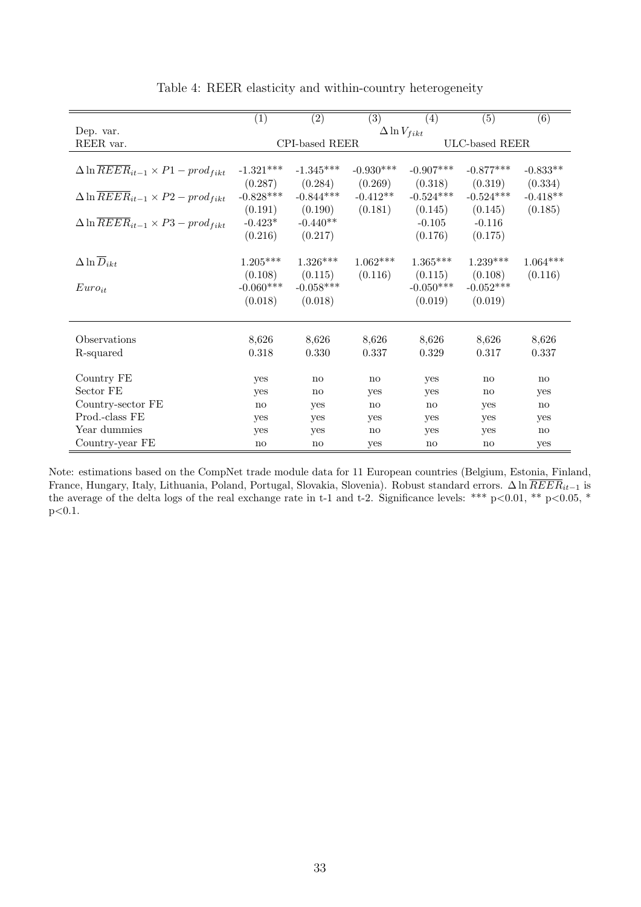|                                                             | (1)         | (2)                    | (3)                   | (4)          | (5)                    | (6)                    |
|-------------------------------------------------------------|-------------|------------------------|-----------------------|--------------|------------------------|------------------------|
| Dep. var.                                                   |             |                        | $\Delta \ln V_{fikt}$ |              |                        |                        |
| REER var.                                                   |             | CPI-based REER         |                       |              | ULC-based REER         |                        |
|                                                             |             |                        |                       |              |                        |                        |
| $\Delta \ln \overline{REER}_{it-1} \times P1 - prod_{fikt}$ | $-1.321***$ | $-1.345***$            | $-0.930***$           | $-0.907***$  | $-0.877***$            | $-0.833**$             |
|                                                             | (0.287)     | (0.284)                | (0.269)               | (0.318)      | (0.319)                | (0.334)                |
| $\Delta \ln \overline{REER}_{it-1} \times P2 - prod_{fikt}$ | $-0.828***$ | $-0.844***$            | $-0.412**$            | $-0.524***$  | $-0.524***$            | $-0.418**$             |
|                                                             | (0.191)     | (0.190)                | (0.181)               | (0.145)      | (0.145)                | (0.185)                |
| $\Delta \ln \overline{REER}_{it-1} \times P3 - prod_{fikt}$ | $-0.423*$   | $-0.440**$             |                       | $-0.105$     | $-0.116$               |                        |
|                                                             | (0.216)     | (0.217)                |                       | (0.176)      | (0.175)                |                        |
|                                                             |             |                        |                       |              |                        |                        |
| $\Delta \ln \overline{D}_{ikt}$                             | $1.205***$  | $1.326***$             | $1.062***$            | $1.365***$   | $1.239***$             | $1.064***$             |
|                                                             | (0.108)     | (0.115)                | (0.116)               | (0.115)      | (0.108)                | (0.116)                |
| $Euro_{it}$                                                 | $-0.060***$ | $-0.058***$            |                       | $-0.050***$  | $-0.052***$            |                        |
|                                                             | (0.018)     | (0.018)                |                       | (0.019)      | (0.019)                |                        |
|                                                             |             |                        |                       |              |                        |                        |
| Observations                                                | 8,626       | 8,626                  | 8,626                 | 8,626        | 8,626                  | 8,626                  |
| R-squared                                                   | 0.318       | 0.330                  | 0.337                 | 0.329        | 0.317                  | 0.337                  |
|                                                             |             |                        |                       |              |                        |                        |
| Country FE                                                  | yes         | $\mathbf{n}$           | no                    | yes          | $\mathbf{n}\mathbf{o}$ | $\mathbf{n}\mathbf{o}$ |
| Sector FE                                                   | yes         | $\mathbf{n}\mathbf{o}$ | yes                   | yes          | $\mathbf{n}\mathbf{o}$ | yes                    |
| Country-sector FE                                           | no          | yes                    | $\mathbf{n}$          | $\mathbf{n}$ | yes                    | no                     |
| Prod.-class FE                                              | yes         | yes                    | yes                   | yes          | yes                    | yes                    |
| Year dummies                                                | yes         | yes                    | no                    | yes          | yes                    | $\mathbf{n}\mathbf{o}$ |
| Country-year FE                                             | no          | no                     | yes                   | no           | no                     | yes                    |

<span id="page-35-0"></span>Table 4: REER elasticity and within-country heterogeneity

Note: estimations based on the CompNet trade module data for 11 European countries (Belgium, Estonia, Finland, France, Hungary, Italy, Lithuania, Poland, Portugal, Slovakia, Slovenia). Robust standard errors. ∆ ln  $\overline{REER}_{it-1}$  is the average of the delta logs of the real exchange rate in t-1 and t-2. Significance levels: \*\*\*  $p < 0.01$ , \*\*  $p < 0.05$ , \*  $p<0.1$ .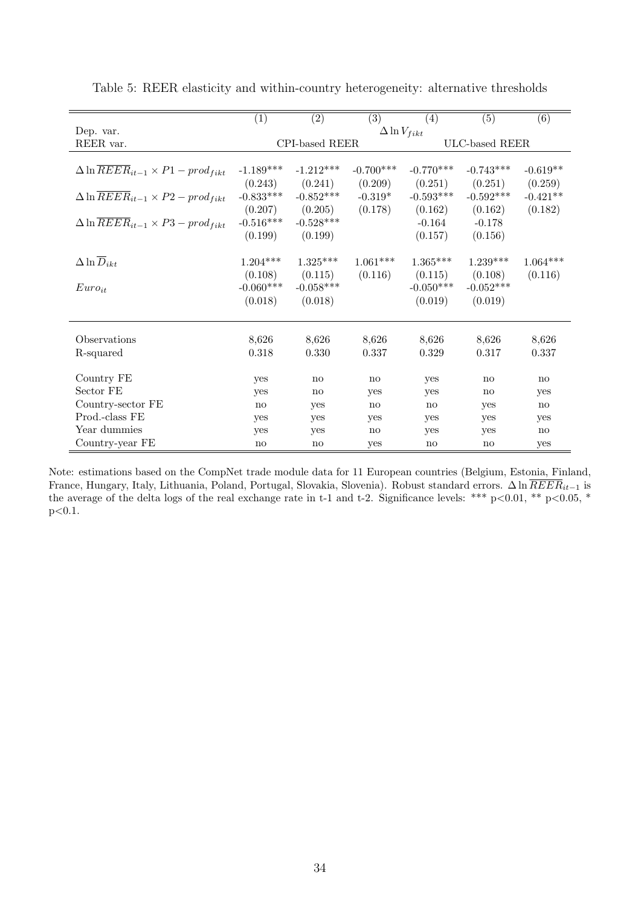|                                                             | (1)         | (2)                    | (3)                   | (4)          | (5)                    | (6)                    |
|-------------------------------------------------------------|-------------|------------------------|-----------------------|--------------|------------------------|------------------------|
| Dep. var.                                                   |             |                        | $\Delta \ln V_{fikt}$ |              |                        |                        |
| REER var.                                                   |             | CPI-based REER         |                       |              | ULC-based REER         |                        |
|                                                             |             |                        |                       |              |                        |                        |
| $\Delta \ln \overline{REER}_{it-1} \times P1 - prod_{fikt}$ | $-1.189***$ | $-1.212***$            | $-0.700***$           | $-0.770***$  | $-0.743***$            | $-0.619**$             |
|                                                             | (0.243)     | (0.241)                | (0.209)               | (0.251)      | (0.251)                | (0.259)                |
| $\Delta \ln \overline{REER}_{it-1} \times P2 - prod_{fikt}$ | $-0.833***$ | $-0.852***$            | $-0.319*$             | $-0.593***$  | $-0.592***$            | $-0.421**$             |
|                                                             | (0.207)     | (0.205)                | (0.178)               | (0.162)      | (0.162)                | (0.182)                |
| $\Delta \ln \overline{REER}_{it-1} \times P3 - prod_{fikt}$ | $-0.516***$ | $-0.528***$            |                       | $-0.164$     | $-0.178$               |                        |
|                                                             | (0.199)     | (0.199)                |                       | (0.157)      | (0.156)                |                        |
|                                                             |             |                        |                       |              |                        |                        |
| $\Delta \ln \overline{D}_{ikt}$                             | $1.204***$  | $1.325***$             | $1.061***$            | $1.365***$   | $1.239***$             | $1.064***$             |
|                                                             | (0.108)     | (0.115)                | (0.116)               | (0.115)      | (0.108)                | (0.116)                |
| $Euro_{it}$                                                 | $-0.060***$ | $-0.058***$            |                       | $-0.050***$  | $-0.052***$            |                        |
|                                                             | (0.018)     | (0.018)                |                       | (0.019)      | (0.019)                |                        |
|                                                             |             |                        |                       |              |                        |                        |
| Observations                                                | 8,626       | 8,626                  | 8,626                 | 8,626        | 8,626                  | 8,626                  |
| R-squared                                                   | 0.318       | 0.330                  | 0.337                 | 0.329        | 0.317                  | 0.337                  |
|                                                             |             |                        |                       |              |                        |                        |
| Country FE                                                  | yes         | $\mathbf{n}$           | no                    | yes          | no                     | $\mathbf{n}\mathbf{o}$ |
| Sector FE                                                   | yes         | $\mathbf{n}\mathbf{o}$ | yes                   | yes          | $\mathbf{n}\mathbf{o}$ | yes                    |
| Country-sector FE                                           | no          | yes                    | $\mathbf{n}$          | $\mathbf{n}$ | yes                    | $\mathbf{n}$           |
| Prod.-class FE                                              | yes         | yes                    | yes                   | yes          | yes                    | yes                    |
| Year dummies                                                | yes         | yes                    | no                    | yes          | yes                    | no                     |
| Country-year FE                                             | no          | no                     | yes                   | no           | $\mathbf{n}\mathbf{o}$ | yes                    |

<span id="page-36-0"></span>Table 5: REER elasticity and within-country heterogeneity: alternative thresholds

Note: estimations based on the CompNet trade module data for 11 European countries (Belgium, Estonia, Finland, France, Hungary, Italy, Lithuania, Poland, Portugal, Slovakia, Slovenia). Robust standard errors. ∆ ln  $\overline{REER}_{it-1}$  is the average of the delta logs of the real exchange rate in t-1 and t-2. Significance levels: \*\*\* p<0.01, \*\* p<0.05, \*  $p<0.1$ .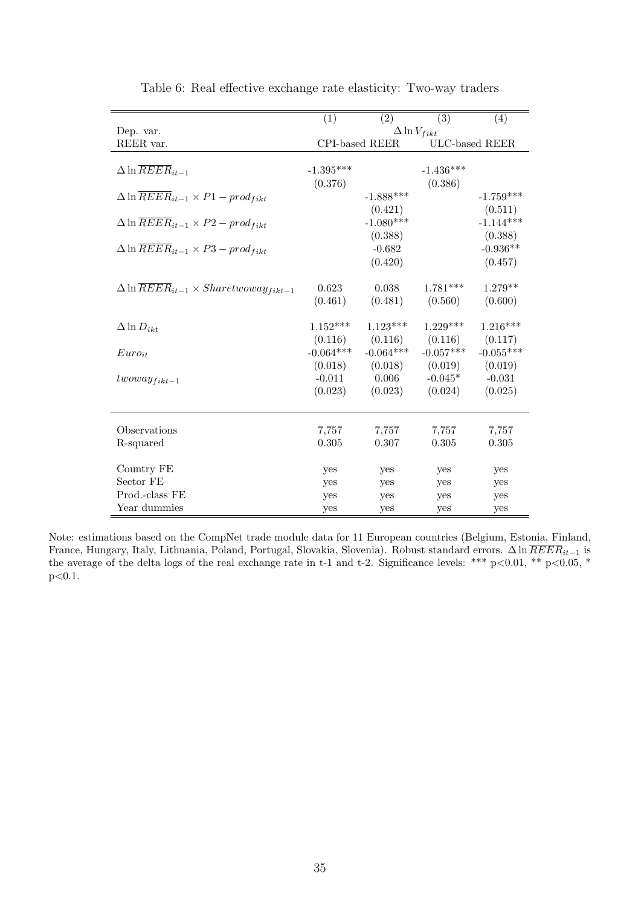|                                                                  | (1)                   | (2)            | (3)         | (4)            |  |  |
|------------------------------------------------------------------|-----------------------|----------------|-------------|----------------|--|--|
| Dep. var.                                                        | $\Delta \ln V_{fikt}$ |                |             |                |  |  |
| REER var.                                                        |                       | CPI-based REER |             | ULC-based REER |  |  |
|                                                                  |                       |                |             |                |  |  |
| $\Delta \ln \overline{REER}_{it-1}$                              | $-1.395***$           |                | $-1.436***$ |                |  |  |
|                                                                  | (0.376)               |                | (0.386)     |                |  |  |
| $\Delta \ln \overline{REER}_{it-1} \times P1 - prod_{fikt}$      |                       | $-1.888***$    |             | $-1.759***$    |  |  |
|                                                                  |                       | (0.421)        |             | (0.511)        |  |  |
| $\Delta \ln \overline{REER}_{it-1} \times P2 - prod_{fikt}$      |                       | $-1.080***$    |             | $-1.144***$    |  |  |
|                                                                  |                       | (0.388)        |             | (0.388)        |  |  |
| $\Delta \ln \overline{REER}_{it-1} \times P3 - prod_{fikt}$      |                       | $-0.682$       |             | $-0.936**$     |  |  |
|                                                                  |                       | (0.420)        |             | (0.457)        |  |  |
|                                                                  |                       |                |             |                |  |  |
| $\Delta \ln \overline{REER}_{it-1} \times Sharet woway_{fikt-1}$ | 0.623                 | 0.038          | $1.781***$  | $1.279**$      |  |  |
|                                                                  | (0.461)               | (0.481)        | (0.560)     | (0.600)        |  |  |
|                                                                  |                       |                |             |                |  |  |
| $\Delta \ln D_{ikt}$                                             | $1.152***$            | $1.123***$     | $1.229***$  | $1.216***$     |  |  |
|                                                                  | (0.116)               | (0.116)        | (0.116)     | (0.117)        |  |  |
| $Euro_{it}$                                                      | $-0.064***$           | $-0.064***$    | $-0.057***$ | $-0.055***$    |  |  |
|                                                                  | (0.018)               | (0.018)        | (0.019)     | (0.019)        |  |  |
| $two way_{fikt-1}$                                               | $-0.011$              | 0.006          | $-0.045*$   | $-0.031$       |  |  |
|                                                                  | (0.023)               | (0.023)        | (0.024)     | (0.025)        |  |  |
|                                                                  |                       |                |             |                |  |  |
| Observations                                                     | 7,757                 | 7,757          | 7,757       | 7,757          |  |  |
| R-squared                                                        | 0.305                 | 0.307          | 0.305       | 0.305          |  |  |
|                                                                  |                       |                |             |                |  |  |
| Country FE                                                       | yes                   | yes            | yes         | yes            |  |  |
| Sector FE                                                        | yes                   | yes            | yes         | yes            |  |  |
| Prod.-class FE                                                   | yes                   | yes            | yes         | yes            |  |  |
| Year dummies                                                     | yes                   | yes            | yes         | yes            |  |  |

<span id="page-37-0"></span>Table 6: Real effective exchange rate elasticity: Two-way traders

Note: estimations based on the CompNet trade module data for 11 European countries (Belgium, Estonia, Finland, France, Hungary, Italy, Lithuania, Poland, Portugal, Slovakia, Slovenia). Robust standard errors. ∆ ln  $REER_{it-1}$  is the average of the delta logs of the real exchange rate in t-1 and t-2. Significance levels: \*\*\*  $p<0.01$ , \*\*  $p<0.05$ , \*  $p<0.1$ .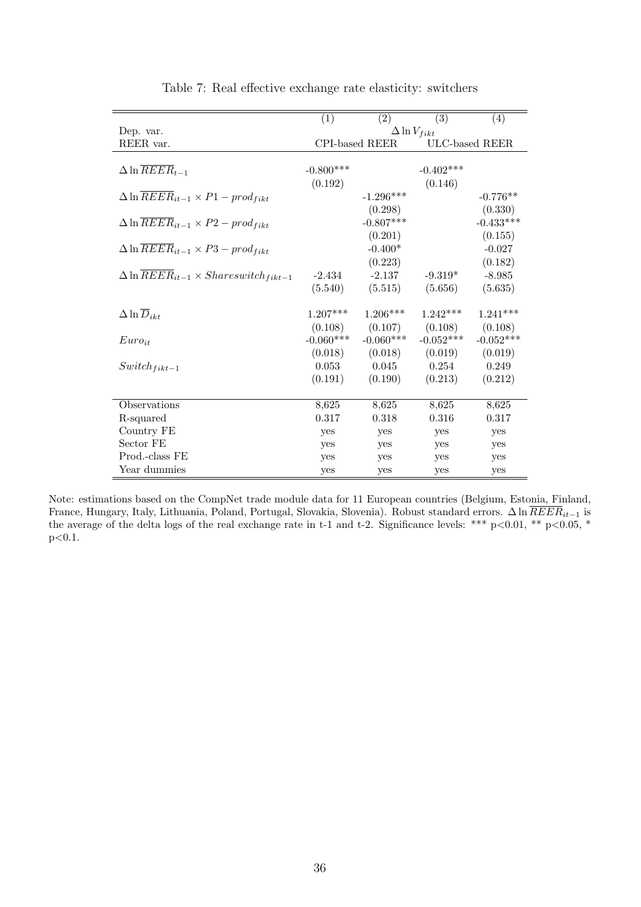|                                                                            | (1)         | (2)            | (3)                   | (4)            |
|----------------------------------------------------------------------------|-------------|----------------|-----------------------|----------------|
| Dep. var.                                                                  |             |                | $\Delta \ln V_{fikt}$ |                |
| REER var.                                                                  |             | CPI-based REER |                       | ULC-based REER |
|                                                                            |             |                |                       |                |
| $\Delta \ln \overline{REER}_{t-1}$                                         | $-0.800***$ |                | $-0.402***$           |                |
|                                                                            | (0.192)     |                | (0.146)               |                |
| $\Delta \ln \overline{REER}_{it-1} \times P1 - prod_{fikt}$                |             | $-1.296***$    |                       | $-0.776**$     |
|                                                                            |             | (0.298)        |                       | (0.330)        |
| $\Delta \ln \overline{REER}_{it-1} \times P2 - prod_{fikt}$                |             | $-0.807***$    |                       | $-0.433***$    |
|                                                                            |             | (0.201)        |                       | (0.155)        |
| $\Delta \ln \overline{REER}_{it-1} \times P3 - prod_{fikt}$                |             | $-0.400*$      |                       | $-0.027$       |
|                                                                            |             | (0.223)        |                       | (0.182)        |
| $\Delta \ln \overline{REER}_{it-1} \times \overline{Shares with_{fikt-1}}$ | $-2.434$    | $-2.137$       | $-9.319*$             | $-8.985$       |
|                                                                            | (5.540)     | (5.515)        | (5.656)               | (5.635)        |
|                                                                            |             |                |                       |                |
| $\Delta \ln \overline{D}_{ikt}$                                            | $1.207***$  | $1.206***$     | $1.242***$            | $1.241***$     |
|                                                                            | (0.108)     | (0.107)        | (0.108)               | (0.108)        |
| $Euro_{it}$                                                                | $-0.060***$ | $-0.060***$    | $-0.052***$           | $-0.052***$    |
|                                                                            | (0.018)     | (0.018)        | (0.019)               | (0.019)        |
| $Switch_{fikt-1}$                                                          | 0.053       | 0.045          | 0.254                 | 0.249          |
|                                                                            | (0.191)     | (0.190)        | (0.213)               | (0.212)        |
|                                                                            |             |                |                       |                |
| Observations                                                               | 8,625       | 8,625          | 8,625                 | 8,625          |
| R-squared                                                                  | 0.317       | 0.318          | 0.316                 | 0.317          |
| Country FE                                                                 | yes         | yes            | yes                   | yes            |
| Sector FE                                                                  | yes         | yes            | yes                   | yes            |
| Prod.-class FE                                                             | yes         | yes            | yes                   | yes            |
| Year dummies                                                               | yes         | yes            | yes                   | yes            |

<span id="page-38-0"></span>Table 7: Real effective exchange rate elasticity: switchers

Note: estimations based on the CompNet trade module data for 11 European countries (Belgium, Estonia, Finland, France, Hungary, Italy, Lithuania, Poland, Portugal, Slovakia, Slovenia). Robust standard errors. ∆ ln  $REER_{it-1}$  is the average of the delta logs of the real exchange rate in t-1 and t-2. Significance levels: \*\*\*  $p<0.01$ , \*\*  $p<0.05$ , \*  $p<0.1$ .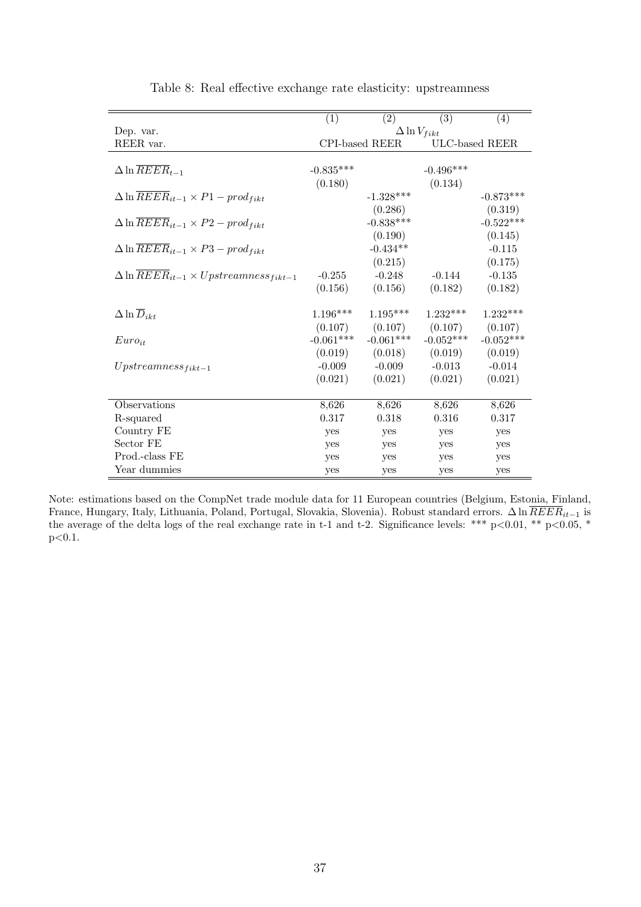|                                                             | $\overline{(1)}$ | $\overline{(2)}$      | $\overline{(3)}$      | (4)            |
|-------------------------------------------------------------|------------------|-----------------------|-----------------------|----------------|
| Dep. var.                                                   |                  |                       | $\Delta \ln V_{fikt}$ |                |
| REER var.                                                   |                  | <b>CPI-based REER</b> |                       | ULC-based REER |
|                                                             |                  |                       |                       |                |
| $\Delta \ln \overline{REER}_{t-1}$                          | $-0.835***$      |                       | $-0.496***$           |                |
|                                                             | (0.180)          |                       | (0.134)               |                |
| $\Delta \ln \overline{REER}_{it-1} \times P1 - prod_{fikt}$ |                  | $-1.328***$           |                       | $-0.873***$    |
|                                                             |                  | (0.286)               |                       | (0.319)        |
| $\Delta \ln \overline{REER}_{it-1} \times P2 - prod_{fikt}$ |                  | $-0.838***$           |                       | $-0.522***$    |
|                                                             |                  | (0.190)               |                       | (0.145)        |
| $\Delta \ln \overline{REER}_{it-1} \times P3 - prod_{fikt}$ |                  | $-0.434**$            |                       | $-0.115$       |
|                                                             |                  | (0.215)               |                       | (0.175)        |
| $\Delta \ln REER_{it-1} \times Upstreamness_{fikt-1}$       | $-0.255$         | $-0.248$              | $-0.144$              | $-0.135$       |
|                                                             | (0.156)          | (0.156)               | (0.182)               | (0.182)        |
|                                                             |                  |                       |                       |                |
| $\Delta \ln \overline{D}_{ikt}$                             | $1.196***$       | $1.195***$            | $1.232***$            | $1.232***$     |
|                                                             | (0.107)          | (0.107)               | (0.107)               | (0.107)        |
| $Euro_{it}$                                                 | $-0.061***$      | $-0.061***$           | $-0.052***$           | $-0.052***$    |
|                                                             | (0.019)          | (0.018)               | (0.019)               | (0.019)        |
| $Upstreamness_{fikt-1}$                                     | $-0.009$         | $-0.009$              | $-0.013$              | $-0.014$       |
|                                                             | (0.021)          | (0.021)               | (0.021)               | (0.021)        |
|                                                             |                  |                       |                       |                |
| <b>Observations</b>                                         | 8,626            | 8,626                 | 8,626                 | 8,626          |
| R-squared                                                   | 0.317            | 0.318                 | 0.316                 | 0.317          |
| Country FE                                                  | yes              | yes                   | yes                   | yes            |
| Sector FE                                                   | yes              | yes                   | yes                   | yes            |
| Prod.-class FE                                              | yes              | yes                   | yes                   | yes            |
| Year dummies                                                | yes              | yes                   | yes                   | yes            |

<span id="page-39-0"></span>Table 8: Real effective exchange rate elasticity: upstreamness

Note: estimations based on the CompNet trade module data for 11 European countries (Belgium, Estonia, Finland, France, Hungary, Italy, Lithuania, Poland, Portugal, Slovakia, Slovenia). Robust standard errors. ∆ ln  $\overline{REER}_{it-1}$  is the average of the delta logs of the real exchange rate in t-1 and t-2. Significance levels: \*\*\* p<0.01, \*\* p<0.05, \*  $p<0.1$ .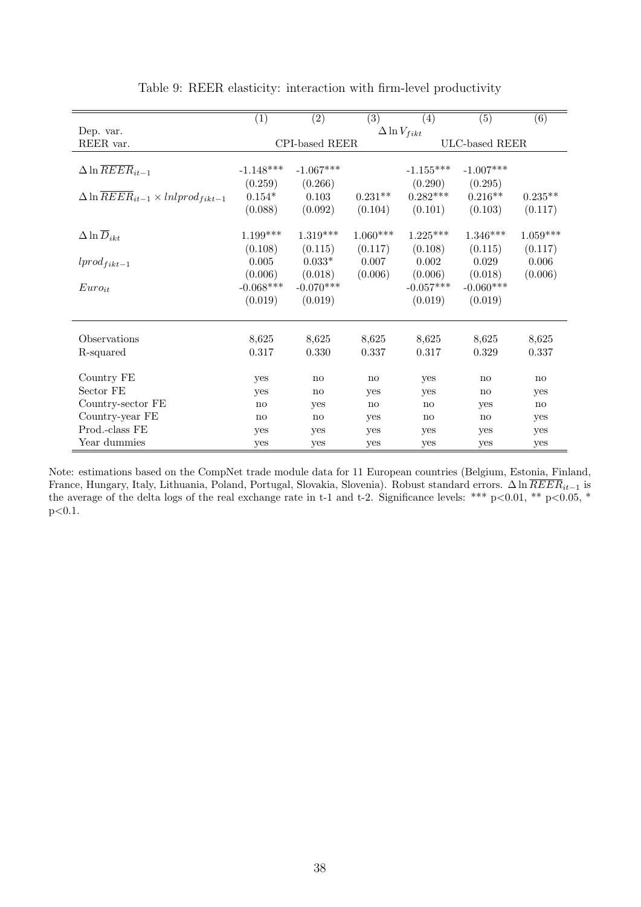|                                                            | $\left( 1\right)$ | $\overline{(2)}$ | $\overline{(3)}$ | (4)                   | $\overline{(5)}$ | (6)        |
|------------------------------------------------------------|-------------------|------------------|------------------|-----------------------|------------------|------------|
| Dep. var.                                                  |                   |                  |                  | $\Delta \ln V_{fikt}$ |                  |            |
| REER var.                                                  |                   | CPI-based REER   |                  |                       | ULC-based REER   |            |
|                                                            |                   |                  |                  |                       |                  |            |
| $\Delta \ln \overline{REER}_{it-1}$                        | $-1.148***$       | $-1.067***$      |                  | $-1.155***$           | $-1.007***$      |            |
|                                                            | (0.259)           | (0.266)          |                  | (0.290)               | (0.295)          |            |
| $\Delta \ln \overline{REER}_{it-1} \times lnlprod_{fit-1}$ | $0.154*$          | 0.103            | $0.231**$        | $0.282***$            | $0.216**$        | $0.235**$  |
|                                                            | (0.088)           | (0.092)          | (0.104)          | (0.101)               | (0.103)          | (0.117)    |
|                                                            |                   |                  |                  |                       |                  |            |
| $\Delta \ln \overline{D}_{ikt}$                            | $1.199***$        | $1.319***$       | $1.060***$       | $1.225***$            | $1.346***$       | $1.059***$ |
|                                                            | (0.108)           | (0.115)          | (0.117)          | (0.108)               | (0.115)          | (0.117)    |
| $lprod_{fikt-1}$                                           | 0.005             | $0.033*$         | 0.007            | 0.002                 | 0.029            | 0.006      |
|                                                            | (0.006)           | (0.018)          | (0.006)          | (0.006)               | (0.018)          | (0.006)    |
| $Euro_{it}$                                                | $-0.068***$       | $-0.070***$      |                  | $-0.057***$           | $-0.060***$      |            |
|                                                            | (0.019)           | (0.019)          |                  | (0.019)               | (0.019)          |            |
|                                                            |                   |                  |                  |                       |                  |            |
| Observations                                               | 8,625             | 8,625            | 8,625            | 8,625                 | 8,625            | 8,625      |
| R-squared                                                  | 0.317             | 0.330            | 0.337            | 0.317                 | 0.329            | 0.337      |
| Country FE                                                 |                   |                  |                  |                       |                  |            |
| Sector FE                                                  | yes               | no               | no               | yes                   | no               | no         |
|                                                            | yes               | no               | yes              | yes                   | no               | yes        |
| Country-sector FE                                          | no                | yes              | no               | no                    | yes              | no         |
| Country-year FE                                            | $\mathbf{n}$      | no               | yes              | no                    | no               | yes        |
| Prod.-class FE                                             | yes               | yes              | yes              | yes                   | yes              | yes        |
| Year dummies                                               | yes               | yes              | yes              | yes                   | yes              | yes        |

<span id="page-40-0"></span>

| Table 9: REER elasticity: interaction with firm-level productivity |  |  |  |  |
|--------------------------------------------------------------------|--|--|--|--|
|                                                                    |  |  |  |  |

Note: estimations based on the CompNet trade module data for 11 European countries (Belgium, Estonia, Finland, France, Hungary, Italy, Lithuania, Poland, Portugal, Slovakia, Slovenia). Robust standard errors. ∆ ln  $REER_{it-1}$  is the average of the delta logs of the real exchange rate in t-1 and t-2. Significance levels: \*\*\*  $p<0.01$ , \*\*  $p<0.05$ , \* p<0.1.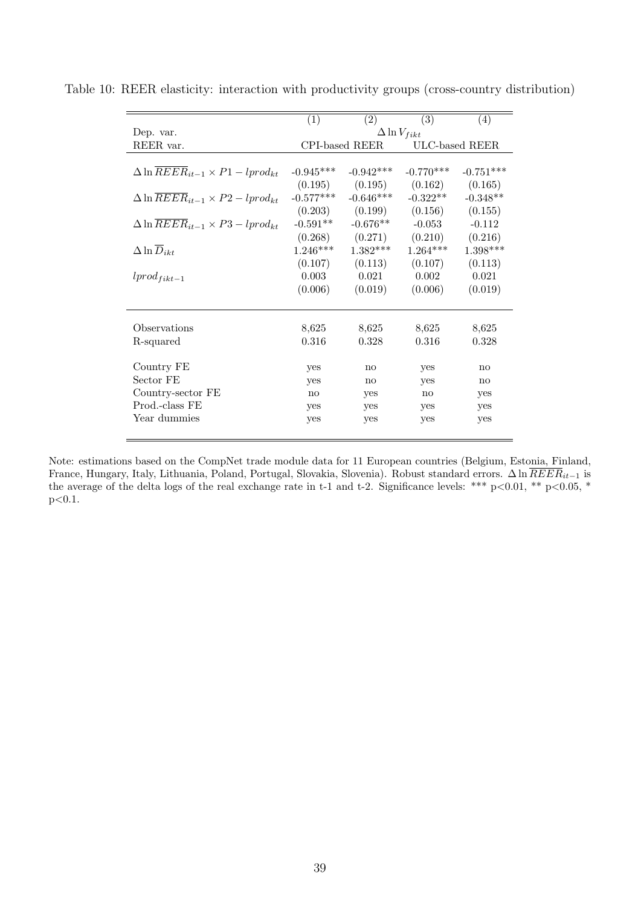<span id="page-41-0"></span>

|                                                          | (1)                    | (2)            | (3)                    | (4)                    |
|----------------------------------------------------------|------------------------|----------------|------------------------|------------------------|
| Dep. var.                                                |                        |                | $\Delta \ln V_{fikt}$  |                        |
| REER var.                                                |                        | CPI-based REER |                        | ULC-based REER         |
|                                                          |                        |                |                        |                        |
| $\Delta \ln \overline{REER}_{it-1} \times P1-lprod_{kt}$ | $-0.945***$            | $-0.942***$    | $-0.770***$            | $-0.751***$            |
|                                                          | (0.195)                | (0.195)        | (0.162)                | (0.165)                |
| $\Delta \ln \overline{REER}_{it-1} \times P2-lprod_{kt}$ | $-0.577***$            | $-0.646***$    | $-0.322**$             | $-0.348**$             |
|                                                          | (0.203)                | (0.199)        | (0.156)                | (0.155)                |
| $\Delta \ln \overline{REER}_{it-1} \times P3-lprod_{kt}$ | $-0.591**$             | $-0.676**$     | $-0.053$               | $-0.112$               |
|                                                          | (0.268)                | (0.271)        | (0.210)                | (0.216)                |
| $\Delta \ln \overline{D}_{ikt}$                          | $1.246***$             | $1.382***$     | $1.264***$             | $1.398***$             |
|                                                          | (0.107)                | (0.113)        | (0.107)                | (0.113)                |
| $lprod_{fikt-1}$                                         | 0.003                  | 0.021          | 0.002                  | 0.021                  |
|                                                          | (0.006)                | (0.019)        | (0.006)                | (0.019)                |
|                                                          |                        |                |                        |                        |
| Observations                                             |                        |                | 8,625                  | 8,625                  |
|                                                          | 8,625                  | 8,625          |                        |                        |
| R-squared                                                | 0.316                  | 0.328          | 0.316                  | 0.328                  |
| Country FE                                               | yes                    | no             | yes                    | $\mathbf{n}\mathbf{o}$ |
| Sector FE                                                | yes                    | $\mathbf{n}$   | yes                    | no                     |
| Country-sector FE                                        | $\mathbf{n}\mathbf{o}$ | yes            | $\mathbf{n}\mathbf{o}$ | yes                    |
| Prod.-class FE                                           | yes                    | yes            | yes                    | yes                    |
| Year dummies                                             | yes                    | yes            | yes                    | yes                    |
|                                                          |                        |                |                        |                        |

Table 10: REER elasticity: interaction with productivity groups (cross-country distribution)

Note: estimations based on the CompNet trade module data for 11 European countries (Belgium, Estonia, Finland, France, Hungary, Italy, Lithuania, Poland, Portugal, Slovakia, Slovenia). Robust standard errors. ∆ ln  $REER_{it-1}$  is the average of the delta logs of the real exchange rate in t-1 and t-2. Significance levels: \*\*\*  $p<0.01$ , \*\*  $p<0.05$ , \*  $\rm p{<}0.1.$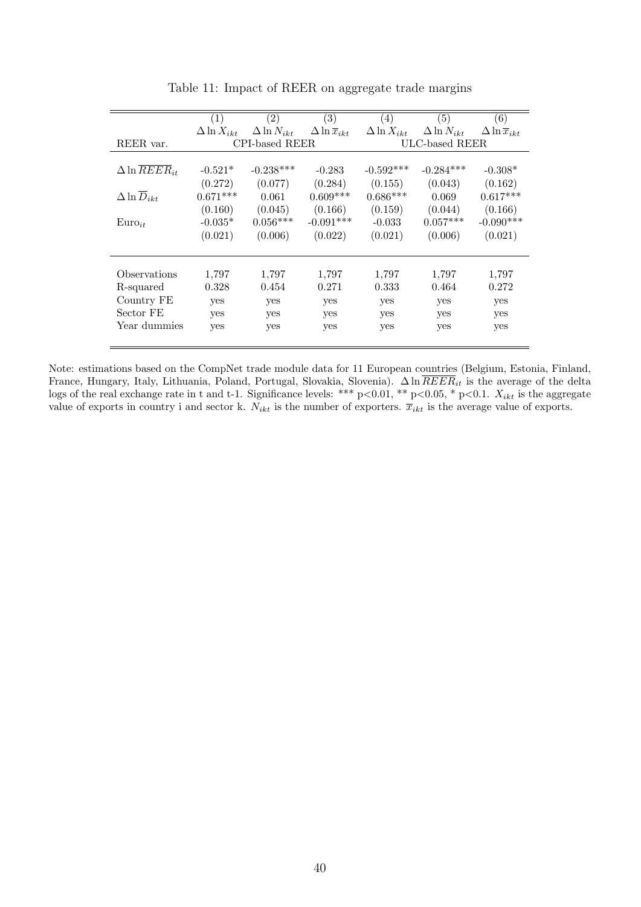|                                   | (1)                  | (2)                  | (3)                             | (4)                  | (5)                  | (6)                             |  |
|-----------------------------------|----------------------|----------------------|---------------------------------|----------------------|----------------------|---------------------------------|--|
|                                   | $\Delta \ln X_{ikt}$ | $\Delta \ln N_{ikt}$ | $\Delta \ln \overline{x}_{ikt}$ | $\Delta \ln X_{ikt}$ | $\Delta \ln N_{ikt}$ | $\Delta \ln \overline{x}_{ikt}$ |  |
| REER var.                         | CPI-based REER       |                      |                                 | ULC-based REER       |                      |                                 |  |
|                                   |                      |                      |                                 |                      |                      |                                 |  |
| $\Delta \ln \overline{REER}_{it}$ | $-0.521*$            | $-0.238***$          | $-0.283$                        | $-0.592***$          | $-0.284***$          | $-0.308*$                       |  |
|                                   | (0.272)              | (0.077)              | (0.284)                         | (0.155)              | (0.043)              | (0.162)                         |  |
| $\Delta \ln \overline{D}_{ikt}$   | $0.671***$           | 0.061                | $0.609***$                      | $0.686***$           | 0.069                | $0.617***$                      |  |
|                                   | (0.160)              | (0.045)              | (0.166)                         | (0.159)              | (0.044)              | (0.166)                         |  |
| $Euro_{it}$                       | $-0.035*$            | $0.056***$           | $-0.091***$                     | $-0.033$             | $0.057***$           | $-0.090***$                     |  |
|                                   | (0.021)              | (0.006)              | (0.022)                         | (0.021)              | (0.006)              | (0.021)                         |  |
|                                   |                      |                      |                                 |                      |                      |                                 |  |
|                                   |                      |                      |                                 |                      |                      |                                 |  |
| Observations                      | 1,797                | 1,797                | 1,797                           | 1,797                | 1,797                | 1,797                           |  |
| R-squared                         | 0.328                | 0.454                | 0.271                           | 0.333                | 0.464                | 0.272                           |  |
| Country FE                        | yes                  | yes                  | yes                             | yes                  | yes                  | yes                             |  |
| Sector FE                         | yes                  | yes                  | yes                             | yes                  | yes                  | yes                             |  |
| Year dummies                      | yes                  | yes                  | yes                             | yes                  | yes                  | yes                             |  |
|                                   |                      |                      |                                 |                      |                      |                                 |  |

<span id="page-42-0"></span>Table 11: Impact of REER on aggregate trade margins

Note: estimations based on the CompNet trade module data for 11 European countries (Belgium, Estonia, Finland, France, Hungary, Italy, Lithuania, Poland, Portugal, Slovakia, Slovenia).  $\Delta \ln REER_{it}$  is the average of the delta logs of the real exchange rate in t and t-1. Significance levels: \*\*\*  $p<0.01$ , \*\*  $p<0.05$ , \*  $p<0.1$ .  $X_{ikt}$  is the aggregate value of exports in country i and sector k.  $N_{ikt}$  is the number of exporters.  $\bar{x}_{ikt}$  is the average value of exports.